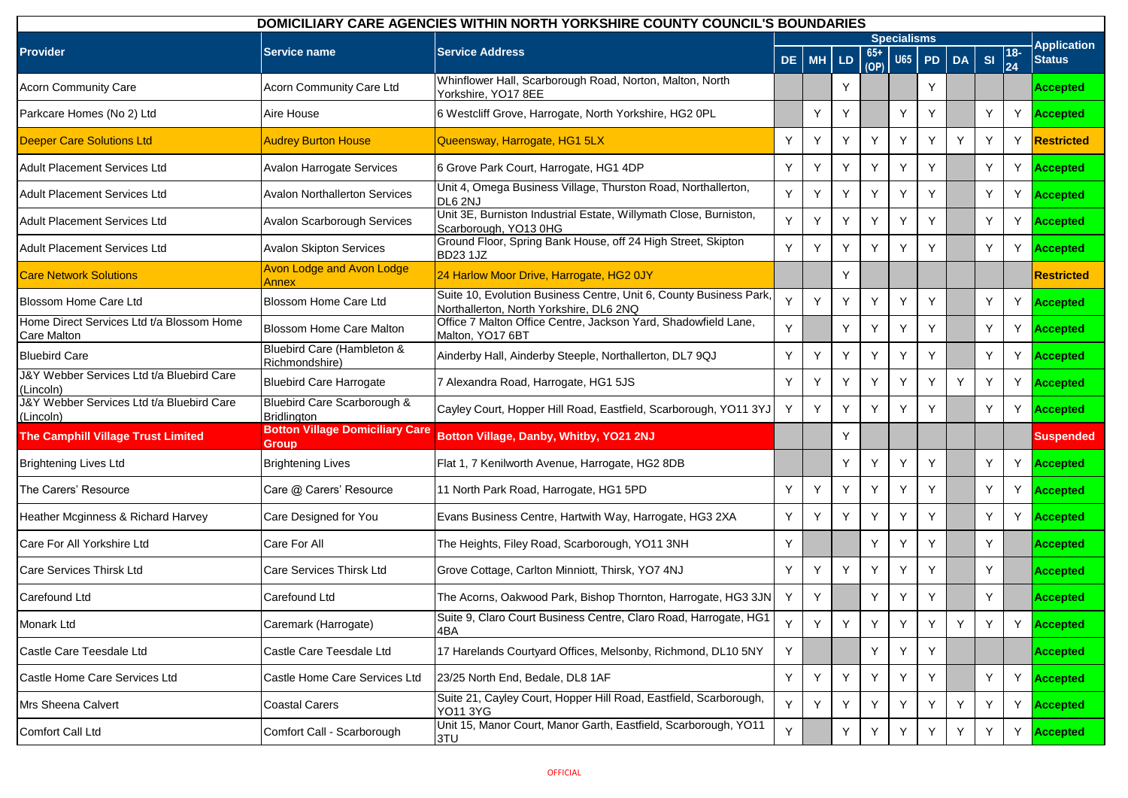| DOMICILIARY CARE AGENCIES WITHIN NORTH YORKSHIRE COUNTY COUNCIL'S BOUNDARIES |                                                 |                                                                                                               |     |           |    |             |                    |           |    |    |                        |                    |
|------------------------------------------------------------------------------|-------------------------------------------------|---------------------------------------------------------------------------------------------------------------|-----|-----------|----|-------------|--------------------|-----------|----|----|------------------------|--------------------|
|                                                                              |                                                 |                                                                                                               |     |           |    |             | <b>Specialisms</b> |           |    |    |                        | <b>Application</b> |
| <b>Provider</b>                                                              | Service name                                    | <b>Service Address</b>                                                                                        | DE. | <b>MH</b> | LD | 65+<br>(OP) | <b>U65</b>         | <b>PD</b> | DA | SI | $ 18-$<br>$\vert_{24}$ | <b>Status</b>      |
| <b>Acorn Community Care</b>                                                  | Acorn Community Care Ltd                        | Whinflower Hall, Scarborough Road, Norton, Malton, North<br>Yorkshire, YO17 8EE                               |     |           | Υ  |             |                    | Υ         |    |    |                        | <b>Accepted</b>    |
| Parkcare Homes (No 2) Ltd                                                    | Aire House                                      | 6 Westcliff Grove, Harrogate, North Yorkshire, HG2 0PL                                                        |     | Y         | Y  |             | Y                  | Y         |    | Y  | Y                      | <b>Accepted</b>    |
| <b>Deeper Care Solutions Ltd</b>                                             | <b>Audrey Burton House</b>                      | Queensway, Harrogate, HG1 5LX                                                                                 | Y   | Y         | Y  | Y           | Y                  | Y         | Y  | Y  | Y                      | <b>Restricted</b>  |
| <b>Adult Placement Services Ltd</b>                                          | Avalon Harrogate Services                       | 6 Grove Park Court, Harrogate, HG1 4DP                                                                        | Y   | Y         | Y  | Y           | Y                  | Y         |    | Y  | Y                      | <b>Accepted</b>    |
| <b>Adult Placement Services Ltd</b>                                          | <b>Avalon Northallerton Services</b>            | Unit 4, Omega Business Village, Thurston Road, Northallerton,<br>DL6 2NJ                                      | Y   | Y         | Y  | Y           | Y                  | Y         |    | Y  | Y                      | <b>Accepted</b>    |
| <b>Adult Placement Services Ltd</b>                                          | Avalon Scarborough Services                     | Unit 3E, Burniston Industrial Estate, Willymath Close, Burniston,<br>Scarborough, YO13 0HG                    | Y   | Y         | Y  | Y           | Υ                  | Υ         |    | Y  | Y                      | <b>Accepted</b>    |
| Adult Placement Services Ltd                                                 | <b>Avalon Skipton Services</b>                  | Ground Floor, Spring Bank House, off 24 High Street, Skipton<br><b>BD23 1JZ</b>                               | Y   | Y         | Y  | Y           | Υ                  | Y         |    | Y  |                        | Y Accepted         |
| <b>Care Network Solutions</b>                                                | <b>Avon Lodge and Avon Lodge</b><br>Annex       | 24 Harlow Moor Drive, Harrogate, HG2 0JY                                                                      |     |           | Y  |             |                    |           |    |    |                        | <b>Restricted</b>  |
| <b>Blossom Home Care Ltd</b>                                                 | Blossom Home Care Ltd                           | Suite 10, Evolution Business Centre, Unit 6, County Business Park,<br>Northallerton, North Yorkshire, DL6 2NQ | Y   | Y         | Y  | Y           | Y                  | Y         |    | Y  | Y                      | <b>Accepted</b>    |
| Home Direct Services Ltd t/a Blossom Home<br>Care Malton                     | <b>Blossom Home Care Malton</b>                 | Office 7 Malton Office Centre, Jackson Yard, Shadowfield Lane,<br>Malton, YO17 6BT                            | Y   |           | Y  | Y           | Y                  | Y         |    | Y  | Y                      | <b>Accepted</b>    |
| <b>Bluebird Care</b>                                                         | Bluebird Care (Hambleton &<br>Richmondshire)    | Ainderby Hall, Ainderby Steeple, Northallerton, DL7 9QJ                                                       | Y   | Y         | Y  | Y           | Y                  | Y         |    | Y  | Y                      | <b>Accepted</b>    |
| J&Y Webber Services Ltd t/a Bluebird Care<br>(Lincoln)                       | <b>Bluebird Care Harrogate</b>                  | 7 Alexandra Road, Harrogate, HG1 5JS                                                                          | Y   | Y         | Y  | Υ           | Y                  | Y         | Y  | Y  | Y                      | <b>Accepted</b>    |
| J&Y Webber Services Ltd t/a Bluebird Care<br>(Lincoln)                       | Bluebird Care Scarborough &<br>Bridlington      | Cayley Court, Hopper Hill Road, Eastfield, Scarborough, YO11 3YJ                                              | Y   | Y         | Y  | Y           | Υ                  | Υ         |    | Y  | Y                      | Accepted           |
| The Camphill Village Trust Limited                                           | <b>Botton Village Domiciliary Care</b><br>Group | Botton Village, Danby, Whitby, YO21 2NJ                                                                       |     |           | Υ  |             |                    |           |    |    |                        | <b>Suspended</b>   |
| <b>Brightening Lives Ltd</b>                                                 | <b>Brightening Lives</b>                        | Flat 1, 7 Kenilworth Avenue, Harrogate, HG2 8DB                                                               |     |           | Y  | Y           | Y                  | Y         |    | Y  | Y                      | <b>Accepted</b>    |
| The Carers' Resource                                                         | Care @ Carers' Resource                         | 11 North Park Road, Harrogate, HG1 5PD                                                                        | Y   | Y         | Y  | Y           | Y                  | Y         |    | Y  | Y                      | <b>Accepted</b>    |
| Heather Mcginness & Richard Harvey                                           | Care Designed for You                           | Evans Business Centre, Hartwith Way, Harrogate, HG3 2XA                                                       | Y   | Y         | Y  | Y           | Y                  | Y         |    | Y  | Y                      | Accepted           |
| Care For All Yorkshire Ltd                                                   | <b>Care For All</b>                             | The Heights, Filey Road, Scarborough, YO11 3NH                                                                | Y   |           |    | Υ           | Y                  | Y         |    | Y  |                        | Accepted           |
| Care Services Thirsk Ltd                                                     | Care Services Thirsk Ltd                        | Grove Cottage, Carlton Minniott, Thirsk, YO7 4NJ                                                              | Y   | Y         | Y  | Y           | Y                  | Υ         |    | Y  |                        | Accepted           |
| Carefound Ltd                                                                | Carefound Ltd                                   | The Acorns, Oakwood Park, Bishop Thornton, Harrogate, HG3 3JN                                                 | Y   | Y         |    | Υ           | Y                  | Y         |    | Y  |                        | <b>Accepted</b>    |
| Monark Ltd                                                                   | Caremark (Harrogate)                            | Suite 9, Claro Court Business Centre, Claro Road, Harrogate, HG1<br>4BA                                       | Y   | Y         | Y  | Y           | Y                  | Y         | Y  | Y  | Y                      | <b>Accepted</b>    |
| Castle Care Teesdale Ltd                                                     | Castle Care Teesdale Ltd                        | 17 Harelands Courtyard Offices, Melsonby, Richmond, DL10 5NY                                                  | Y   |           |    | Y           | Y                  | Y         |    |    |                        | <b>Accepted</b>    |
| Castle Home Care Services Ltd                                                | Castle Home Care Services Ltd                   | 23/25 North End, Bedale, DL8 1AF                                                                              | Y   | Υ         | Y  | Y           | Y                  | Y         |    | Υ  | Y                      | <b>Accepted</b>    |
| Mrs Sheena Calvert                                                           | <b>Coastal Carers</b>                           | Suite 21, Cayley Court, Hopper Hill Road, Eastfield, Scarborough,<br>YO11 3YG                                 | Y   | Y         | Y  | Y           | Y                  | Y         | Y  | Y  |                        | Y Accepted         |
| Comfort Call Ltd                                                             | Comfort Call - Scarborough                      | Unit 15, Manor Court, Manor Garth, Eastfield, Scarborough, YO11<br>3TU                                        | Y   |           | Y  | Y           | Y                  | Y         | Y  | Y  | Y                      | <b>Accepted</b>    |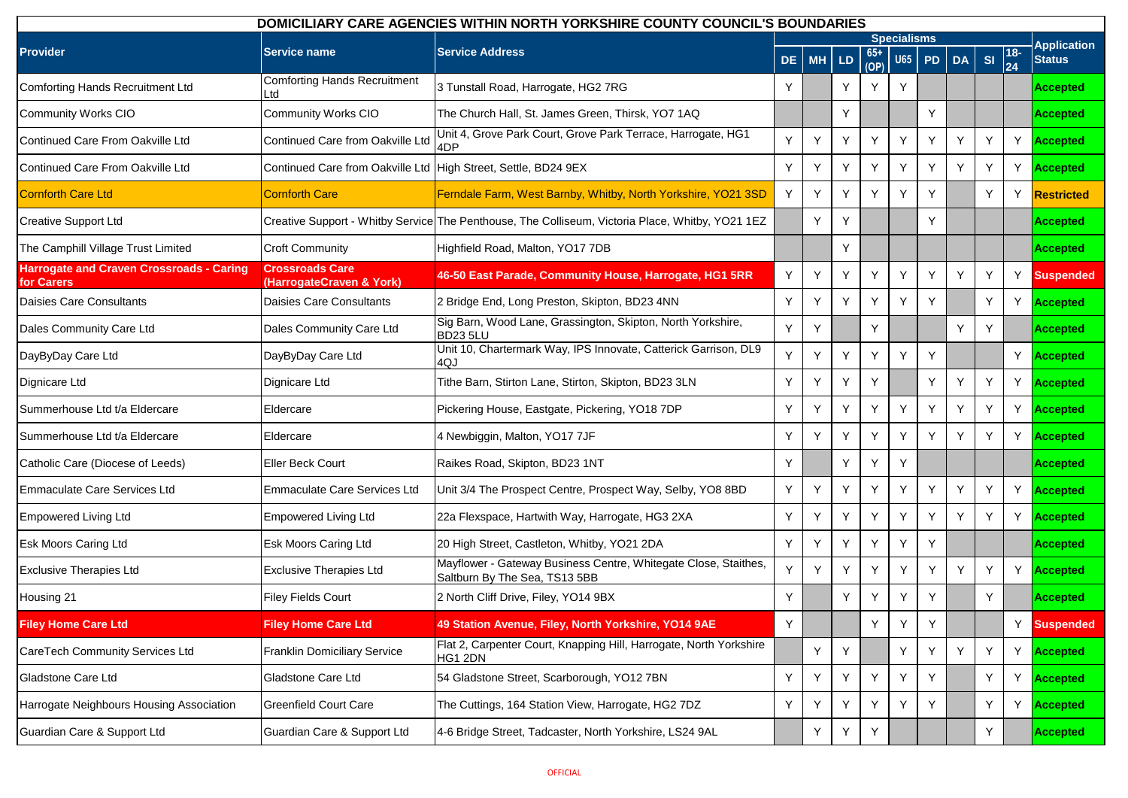| DOMICILIARY CARE AGENCIES WITHIN NORTH YORKSHIRE COUNTY COUNCIL'S BOUNDARIES |                                                                |                                                                                                  |     |           |    |               |                    |           |    |           |                 |                    |
|------------------------------------------------------------------------------|----------------------------------------------------------------|--------------------------------------------------------------------------------------------------|-----|-----------|----|---------------|--------------------|-----------|----|-----------|-----------------|--------------------|
|                                                                              |                                                                |                                                                                                  |     |           |    |               | <b>Specialisms</b> |           |    |           |                 | <b>Application</b> |
| <b>Provider</b>                                                              | <b>Service name</b>                                            | <b>Service Address</b>                                                                           | DE. | <b>MH</b> | LD | $65+$<br>(OP) | U65                | <b>PD</b> | DA | <b>SI</b> | $\frac{18}{24}$ | <b>Status</b>      |
| <b>Comforting Hands Recruitment Ltd</b>                                      | <b>Comforting Hands Recruitment</b><br>Ltd                     | 3 Tunstall Road, Harrogate, HG2 7RG                                                              | Y   |           | Y  | Y             | Y                  |           |    |           |                 | <b>Accepted</b>    |
| <b>Community Works CIO</b>                                                   | Community Works CIO                                            | The Church Hall, St. James Green, Thirsk, YO7 1AQ                                                |     |           | Y  |               |                    | Y         |    |           |                 | <b>Accepted</b>    |
| Continued Care From Oakville Ltd                                             | Continued Care from Oakville Ltd                               | Unit 4, Grove Park Court, Grove Park Terrace, Harrogate, HG1<br>4DP                              | Y   | Υ         | Y  | Y             | Υ                  | Y         | Y  | Y         | Y               | <b>Accepted</b>    |
| Continued Care From Oakville Ltd                                             | Continued Care from Oakville Ltd High Street, Settle, BD24 9EX |                                                                                                  | Y   | Υ         | Y  | Y             | Υ                  | Y         | Y  | Y         | Y               | <b>Accepted</b>    |
| <b>Cornforth Care Ltd</b>                                                    | <b>Cornforth Care</b>                                          | Ferndale Farm, West Barnby, Whitby, North Yorkshire, YO21 3SD                                    | Y   | Y         | Y  | Y             | Y                  | Y         |    | Y         | Y               | Restricted         |
| <b>Creative Support Ltd</b>                                                  |                                                                | Creative Support - Whitby Service The Penthouse, The Colliseum, Victoria Place, Whitby, YO21 1EZ |     | Υ         | Y  |               |                    | Y         |    |           |                 | <b>Accepted</b>    |
| The Camphill Village Trust Limited                                           | <b>Croft Community</b>                                         | Highfield Road, Malton, YO17 7DB                                                                 |     |           | Y  |               |                    |           |    |           |                 | <b>Accepted</b>    |
| <b>Harrogate and Craven Crossroads - Caring</b><br>for Carers                | <b>Crossroads Care</b><br>(HarrogateCraven & York)             | 46-50 East Parade, Community House, Harrogate, HG1 5RR                                           | Y   | Υ         | Y  | Y             | Y                  | Y         | Y  | Y         | Y               | <b>Suspended</b>   |
| Daisies Care Consultants                                                     | Daisies Care Consultants                                       | 2 Bridge End, Long Preston, Skipton, BD23 4NN                                                    | Y   | Υ         | Y  | Y             | Y                  | Y         |    | Y         | Y               | <b>Accepted</b>    |
| Dales Community Care Ltd                                                     | Dales Community Care Ltd                                       | Sig Barn, Wood Lane, Grassington, Skipton, North Yorkshire,<br><b>BD23 5LU</b>                   | Y   | Υ         |    | Y             |                    |           | Y  | Y         |                 | <b>Accepted</b>    |
| DayByDay Care Ltd                                                            | DayByDay Care Ltd                                              | Unit 10, Chartermark Way, IPS Innovate, Catterick Garrison, DL9<br>4QJ                           | Y   | Y         | Y  | Y             | Y                  | Y         |    |           | Y               | <b>Accepted</b>    |
| Dignicare Ltd                                                                | Dignicare Ltd                                                  | Tithe Barn, Stirton Lane, Stirton, Skipton, BD23 3LN                                             | Y   | Υ         | Y  | Y             |                    | Y         | Y  | Y         | Y               | <b>Accepted</b>    |
| Summerhouse Ltd t/a Eldercare                                                | Eldercare                                                      | Pickering House, Eastgate, Pickering, YO18 7DP                                                   | Y   | Y         | Y  | Y             | Y                  | Y         | Y  | Y         | Y               | <b>Accepted</b>    |
| Summerhouse Ltd t/a Eldercare                                                | Eldercare                                                      | 4 Newbiggin, Malton, YO17 7JF                                                                    | Y   | Y         | Y  | Y             | Υ                  | Y         | Y  | Y         | Y               | <b>Accepted</b>    |
| Catholic Care (Diocese of Leeds)                                             | Eller Beck Court                                               | Raikes Road, Skipton, BD23 1NT                                                                   | Y   |           | Y  | Y             | Υ                  |           |    |           |                 | <b>Accepted</b>    |
| Emmaculate Care Services Ltd                                                 | Emmaculate Care Services Ltd                                   | Unit 3/4 The Prospect Centre, Prospect Way, Selby, YO8 8BD                                       | Y   | Υ         | Y  | Y             | Y                  | Y         | Y  | Y         | Y               | <b>Accepted</b>    |
| <b>Empowered Living Ltd</b>                                                  | <b>Empowered Living Ltd</b>                                    | 22a Flexspace, Hartwith Way, Harrogate, HG3 2XA                                                  | Y   | Υ         | Y  | Y             | Υ                  | Y         | Y  | Y         | Y               | <b>Accepted</b>    |
| <b>Esk Moors Caring Ltd</b>                                                  | <b>Esk Moors Caring Ltd</b>                                    | 20 High Street, Castleton, Whitby, YO21 2DA                                                      | Y   | Y         | Y  | Y             | Y                  | Y         |    |           |                 | <b>Accepted</b>    |
| <b>Exclusive Therapies Ltd</b>                                               | <b>Exclusive Therapies Ltd</b>                                 | Mayflower - Gateway Business Centre, Whitegate Close, Staithes,<br>Saltburn By The Sea, TS13 5BB | Y   | Y         | Y  | Y             | Y                  | Y         | Y  | Y         | Y               | <b>Accepted</b>    |
| Housing 21                                                                   | <b>Filey Fields Court</b>                                      | 2 North Cliff Drive, Filey, YO14 9BX                                                             | Y   |           | Υ  | Y             | Υ                  | Y         |    | Y         |                 | <b>Accepted</b>    |
| <b>Filey Home Care Ltd</b>                                                   | <b>Filey Home Care Ltd</b>                                     | 49 Station Avenue, Filey, North Yorkshire, YO14 9AE                                              | Υ   |           |    | Υ             | Υ                  | Y         |    |           | Y               | <b>Suspended</b>   |
| CareTech Community Services Ltd                                              | Franklin Domiciliary Service                                   | Flat 2, Carpenter Court, Knapping Hill, Harrogate, North Yorkshire<br>HG1 2DN                    |     | Y         | Y  |               | Y                  | Y         | Y  | Y         | Υ               | <b>Accepted</b>    |
| Gladstone Care Ltd                                                           | Gladstone Care Ltd                                             | 54 Gladstone Street, Scarborough, YO12 7BN                                                       | Υ   | Y         | Y  | Y             | Y                  | Y         |    | Y         | Y               | Accepted           |
| Harrogate Neighbours Housing Association                                     | <b>Greenfield Court Care</b>                                   | The Cuttings, 164 Station View, Harrogate, HG2 7DZ                                               | Y   | Y         | Y  | Y             | Y                  | Y         |    | Y         | Y               | <b>Accepted</b>    |
| Guardian Care & Support Ltd                                                  | Guardian Care & Support Ltd                                    | 4-6 Bridge Street, Tadcaster, North Yorkshire, LS24 9AL                                          |     | Y         | Y  | Υ             |                    |           |    | Y         |                 | <b>Accepted</b>    |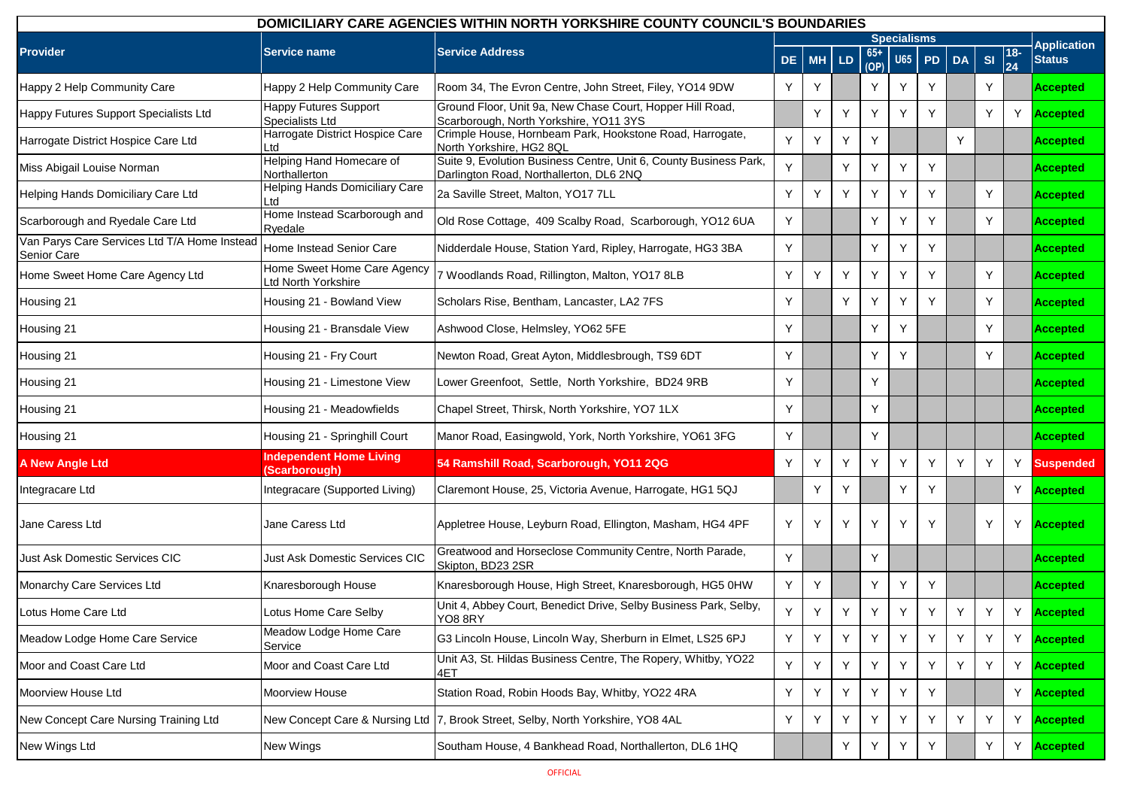| <b>DOMICILIARY CARE AGENCIES WITHIN NORTH YORKSHIRE COUNTY COUNCIL'S BOUNDARIES</b> |                                                   |                                                                                                              |     |           |     |             |                    |    |           |    |                           |                    |
|-------------------------------------------------------------------------------------|---------------------------------------------------|--------------------------------------------------------------------------------------------------------------|-----|-----------|-----|-------------|--------------------|----|-----------|----|---------------------------|--------------------|
|                                                                                     |                                                   |                                                                                                              |     |           |     |             | <b>Specialisms</b> |    |           |    |                           | <b>Application</b> |
| <b>Provider</b>                                                                     | <b>Service name</b>                               | <b>Service Address</b>                                                                                       | DE. | <b>MH</b> | LD. | 65+<br>(OP) | <b>U65</b>         | PD | <b>DA</b> | SI | $ 18-$<br>$\overline{24}$ | <b>Status</b>      |
| Happy 2 Help Community Care                                                         | Happy 2 Help Community Care                       | Room 34, The Evron Centre, John Street, Filey, YO14 9DW                                                      | Y   | Y         |     | Y           | Y                  | Y  |           | Y  |                           | <b>Accepted</b>    |
| Happy Futures Support Specialists Ltd                                               | <b>Happy Futures Support</b><br>Specialists Ltd   | Ground Floor, Unit 9a, New Chase Court, Hopper Hill Road,<br>Scarborough, North Yorkshire, YO11 3YS          |     | Y         | Y   | Y           | Y                  | Y  |           | Y  |                           | Y <b>Accepted</b>  |
| Harrogate District Hospice Care Ltd                                                 | Harrogate District Hospice Care<br>Ltd            | Crimple House, Hornbeam Park, Hookstone Road, Harrogate,<br>North Yorkshire, HG2 8QL                         | Y   | Y         | Υ   | Y           |                    |    | Y         |    |                           | Accepted           |
| Miss Abigail Louise Norman                                                          | Helping Hand Homecare of<br>Northallerton         | Suite 9, Evolution Business Centre, Unit 6, County Business Park,<br>Darlington Road, Northallerton, DL6 2NQ | Y   |           | Y   | Y           | Y                  | Y  |           |    |                           | Accepted           |
| Helping Hands Domiciliary Care Ltd                                                  | Helping Hands Domiciliary Care<br>Ltd             | 2a Saville Street, Malton, YO17 7LL                                                                          | Y   | Y         | Y   | Y           | Y                  | Y  |           | Y  |                           | Accepted           |
| Scarborough and Ryedale Care Ltd                                                    | Home Instead Scarborough and<br>Ryedale           | Old Rose Cottage, 409 Scalby Road, Scarborough, YO12 6UA                                                     | Y   |           |     | Y           | Y                  | Y  |           | Y  |                           | Accepted           |
| Van Parys Care Services Ltd T/A Home Instead<br><b>Senior Care</b>                  | Home Instead Senior Care                          | Nidderdale House, Station Yard, Ripley, Harrogate, HG3 3BA                                                   | Y   |           |     | Y           | Y                  | Y  |           |    |                           | Accepted           |
| Home Sweet Home Care Agency Ltd                                                     | Home Sweet Home Care Agency<br>td North Yorkshire | 7 Woodlands Road, Rillington, Malton, YO17 8LB                                                               | Y   | Y         | Y   | Υ           | Y                  | Y  |           | Y  |                           | Accepted           |
| Housing 21                                                                          | Housing 21 - Bowland View                         | Scholars Rise, Bentham, Lancaster, LA2 7FS                                                                   | Y   |           | Y   | Y           | Y                  | Υ  |           | Y  |                           | Accepted           |
| Housing 21                                                                          | Housing 21 - Bransdale View                       | Ashwood Close, Helmsley, YO62 5FE                                                                            | Y   |           |     | Y           | Υ                  |    |           | Y  |                           | Accepted           |
| Housing 21                                                                          | Housing 21 - Fry Court                            | Newton Road, Great Ayton, Middlesbrough, TS9 6DT                                                             | Y   |           |     | Y           | Y                  |    |           | Y  |                           | Accepted           |
| Housing 21                                                                          | Housing 21 - Limestone View                       | Lower Greenfoot, Settle, North Yorkshire, BD24 9RB                                                           | Y   |           |     | Y           |                    |    |           |    |                           | Accepted           |
| Housing 21                                                                          | Housing 21 - Meadowfields                         | Chapel Street, Thirsk, North Yorkshire, YO7 1LX                                                              | Y   |           |     | Y           |                    |    |           |    |                           | Accepted           |
| Housing 21                                                                          | Housing 21 - Springhill Court                     | Manor Road, Easingwold, York, North Yorkshire, YO61 3FG                                                      | Y   |           |     | Y           |                    |    |           |    |                           | Accepted           |
| <b>A New Angle Ltd</b>                                                              | <b>Independent Home Living</b><br>(Scarborough)   | 54 Ramshill Road, Scarborough, YO11 2QG                                                                      | Y   | Y         | Y   | Y           | Y                  | Y  | Y         | Y  | Y                         | <b>Suspended</b>   |
| Integracare Ltd                                                                     | Integracare (Supported Living)                    | Claremont House, 25, Victoria Avenue, Harrogate, HG1 5QJ                                                     |     | Y         | Y   |             | Y                  | Y  |           |    |                           | Y <b>Accepted</b>  |
| Jane Caress Ltd                                                                     | Jane Caress Ltd                                   | Appletree House, Leyburn Road, Ellington, Masham, HG4 4PF                                                    | Y   | Y         | Y   | Y           | Y                  | Y  |           | Y  |                           | Y <b>Accepted</b>  |
| Just Ask Domestic Services CIC                                                      | Just Ask Domestic Services CIC                    | Greatwood and Horseclose Community Centre, North Parade,<br>Skipton, BD23 2SR                                | Y   |           |     | Y           |                    |    |           |    |                           | Accepted           |
| Monarchy Care Services Ltd                                                          | Knaresborough House                               | Knaresborough House, High Street, Knaresborough, HG5 0HW                                                     | Y   | Y         |     | Y           | Y                  | Y  |           |    |                           | <b>Accepted</b>    |
| Lotus Home Care Ltd                                                                 | Lotus Home Care Selby                             | Unit 4, Abbey Court, Benedict Drive, Selby Business Park, Selby,<br>YO8 8RY                                  | Y   | Y         | Y   | Y           | Y                  | Y  | Y         | Y  | Y                         | <b>Accepted</b>    |
| Meadow Lodge Home Care Service                                                      | Meadow Lodge Home Care<br>Service                 | G3 Lincoln House, Lincoln Way, Sherburn in Elmet, LS25 6PJ                                                   | Y   | Υ         | Y   | Y           | Y                  | Y  | Y         | Y  | Y                         | <b>Accepted</b>    |
| Moor and Coast Care Ltd                                                             | Moor and Coast Care Ltd                           | Unit A3, St. Hildas Business Centre, The Ropery, Whitby, YO22<br>4ET                                         | Y   | Y         | Y   | Y           | Y                  | Y  | Y         | Y  |                           | Y <b>Accepted</b>  |
| Moorview House Ltd                                                                  | Moorview House                                    | Station Road, Robin Hoods Bay, Whitby, YO22 4RA                                                              | Υ   | Υ         | Y   | Y           | Y.                 | Y  |           |    |                           | Y <b>Accepted</b>  |
| New Concept Care Nursing Training Ltd                                               | New Concept Care & Nursing Ltd                    | 7, Brook Street, Selby, North Yorkshire, YO8 4AL                                                             | Υ   | Υ         | Y   | Y           | Y                  | Y  | Y         | Υ  | Y                         | <b>Accepted</b>    |
| New Wings Ltd                                                                       | New Wings                                         | Southam House, 4 Bankhead Road, Northallerton, DL6 1HQ                                                       |     |           | Y   | Υ           | Y                  | Y  |           | Y  | Υ                         | Accepted           |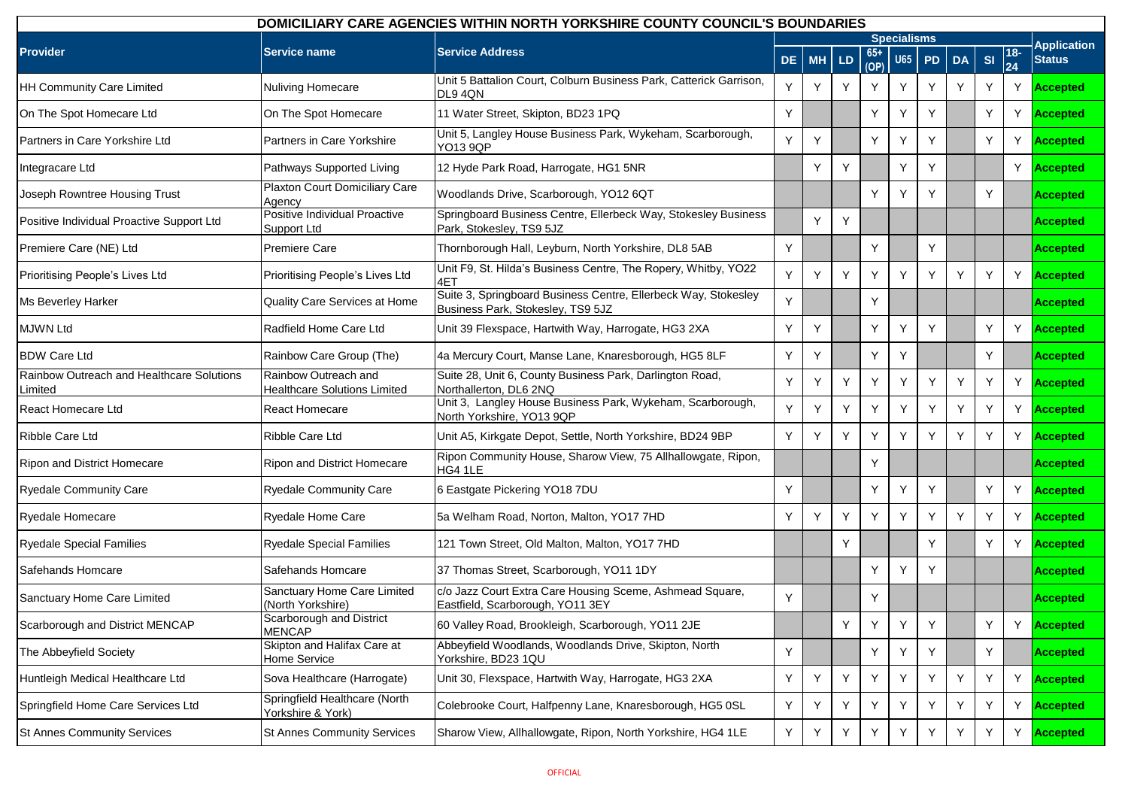| DOMICILIARY CARE AGENCIES WITHIN NORTH YORKSHIRE COUNTY COUNCIL'S BOUNDARIES |                                                             |                                                                                                     |     |           |     |               |                    |    |           |    |              |                    |
|------------------------------------------------------------------------------|-------------------------------------------------------------|-----------------------------------------------------------------------------------------------------|-----|-----------|-----|---------------|--------------------|----|-----------|----|--------------|--------------------|
|                                                                              |                                                             |                                                                                                     |     |           |     |               | <b>Specialisms</b> |    |           |    |              | <b>Application</b> |
| <b>Provider</b>                                                              | <b>Service name</b>                                         | <b>Service Address</b>                                                                              | DE. | <b>MH</b> | LD. | $65+$<br>(OP) | <b>U65</b>         | PD | <b>DA</b> | SI | $ 18-$<br>24 | <b>Status</b>      |
| <b>HH Community Care Limited</b>                                             | Nuliving Homecare                                           | Unit 5 Battalion Court, Colburn Business Park, Catterick Garrison,<br>DL94QN                        | Y   | Y         | Y   | Y             | Y                  | Y  | Y         | Y  | Y            | <b>Accepted</b>    |
| On The Spot Homecare Ltd                                                     | On The Spot Homecare                                        | 11 Water Street, Skipton, BD23 1PQ                                                                  | Y   |           |     | Υ             | Y                  | Y  |           | Y  | Y            | Accepted           |
| Partners in Care Yorkshire Ltd                                               | Partners in Care Yorkshire                                  | Unit 5, Langley House Business Park, Wykeham, Scarborough,<br><b>YO13 9QP</b>                       | Y   | Y         |     | Y             | Y                  | Y  |           | Y  | Y            | Accepted           |
| Integracare Ltd                                                              | Pathways Supported Living                                   | 12 Hyde Park Road, Harrogate, HG1 5NR                                                               |     | Y         | Y   |               | Y                  | Y  |           |    | Y            | <b>Accepted</b>    |
| Joseph Rowntree Housing Trust                                                | Plaxton Court Domiciliary Care<br>Agency                    | Woodlands Drive, Scarborough, YO12 6QT                                                              |     |           |     | Υ             | Y                  | Y  |           | Y  |              | <b>Accepted</b>    |
| Positive Individual Proactive Support Ltd                                    | Positive Individual Proactive<br>Support Ltd                | Springboard Business Centre, Ellerbeck Way, Stokesley Business<br>Park, Stokesley, TS9 5JZ          |     | Y         | Y   |               |                    |    |           |    |              | <b>Accepted</b>    |
| Premiere Care (NE) Ltd                                                       | <b>Premiere Care</b>                                        | Thornborough Hall, Leyburn, North Yorkshire, DL8 5AB                                                | Y   |           |     | Y             |                    | Y  |           |    |              | <b>Accepted</b>    |
| Prioritising People's Lives Ltd                                              | Prioritising People's Lives Ltd                             | Unit F9, St. Hilda's Business Centre, The Ropery, Whitby, YO22<br>4ET                               | Y   | Υ         | Y   | Y             | Υ                  | Y  | Y         | Y  | Y            | <b>Accepted</b>    |
| Ms Beverley Harker                                                           | Quality Care Services at Home                               | Suite 3, Springboard Business Centre, Ellerbeck Way, Stokesley<br>Business Park, Stokesley, TS9 5JZ | Y   |           |     | Y             |                    |    |           |    |              | <b>Accepted</b>    |
| <b>MJWN Ltd</b>                                                              | Radfield Home Care Ltd                                      | Unit 39 Flexspace, Hartwith Way, Harrogate, HG3 2XA                                                 | Y   | Y         |     | Y             | Y                  | Y  |           | Y  | Y            | <b>Accepted</b>    |
| <b>BDW Care Ltd</b>                                                          | Rainbow Care Group (The)                                    | 4a Mercury Court, Manse Lane, Knaresborough, HG5 8LF                                                | Y   | Y         |     | Υ             | Υ                  |    |           | Y  |              | <b>Accepted</b>    |
| Rainbow Outreach and Healthcare Solutions<br>Limited                         | Rainbow Outreach and<br><b>Healthcare Solutions Limited</b> | Suite 28, Unit 6, County Business Park, Darlington Road,<br>Northallerton, DL6 2NQ                  | Υ   | Y         | Y   | Y             | Y                  | Y  | Y         | Y  |              | Y Accepted         |
| <b>React Homecare Ltd</b>                                                    | <b>React Homecare</b>                                       | Unit 3, Langley House Business Park, Wykeham, Scarborough,<br>North Yorkshire, YO13 9QP             | Y   | Y         | Y   | Y             | Y                  | Y  | Y         | Y  | Y            | <b>Accepted</b>    |
| Ribble Care Ltd                                                              | Ribble Care Ltd                                             | Unit A5, Kirkgate Depot, Settle, North Yorkshire, BD24 9BP                                          | Y   | Y         | Y   | Y             | Υ                  | Y  | Y         | Y  | Υ            | <b>Accepted</b>    |
| Ripon and District Homecare                                                  | Ripon and District Homecare                                 | Ripon Community House, Sharow View, 75 Allhallowgate, Ripon,<br>HG4 1LE                             |     |           |     | Y             |                    |    |           |    |              | <b>Accepted</b>    |
| <b>Ryedale Community Care</b>                                                | <b>Ryedale Community Care</b>                               | 6 Eastgate Pickering YO18 7DU                                                                       | Y   |           |     | Y             | Y                  | Y  |           | Y  | Y            | <b>Accepted</b>    |
| Ryedale Homecare                                                             | Ryedale Home Care                                           | 5a Welham Road, Norton, Malton, YO17 7HD                                                            | Y   | Y         | Y   | Y             | Υ                  | Y  | Y         | Y  | Y            | <b>Accepted</b>    |
| <b>Ryedale Special Families</b>                                              | <b>Ryedale Special Families</b>                             | 121 Town Street, Old Malton, Malton, YO17 7HD                                                       |     |           | Y   |               |                    | Y  |           | Y  | Y            | <b>Accepted</b>    |
| Safehands Homcare                                                            | Safehands Homcare                                           | 37 Thomas Street, Scarborough, YO11 1DY                                                             |     |           |     | Y             | Y                  | Y  |           |    |              | <b>Accepted</b>    |
| Sanctuary Home Care Limited                                                  | Sanctuary Home Care Limited<br>(North Yorkshire)            | c/o Jazz Court Extra Care Housing Sceme, Ashmead Square,<br>Eastfield, Scarborough, YO11 3EY        | Y   |           |     | Y             |                    |    |           |    |              | <b>Accepted</b>    |
| Scarborough and District MENCAP                                              | Scarborough and District<br><b>MENCAP</b>                   | 60 Valley Road, Brookleigh, Scarborough, YO11 2JE                                                   |     |           | Y   | Υ             | Y                  | Y  |           | Y  | Υ            | <b>Accepted</b>    |
| The Abbeyfield Society                                                       | Skipton and Halifax Care at<br>Home Service                 | Abbeyfield Woodlands, Woodlands Drive, Skipton, North<br>Yorkshire, BD23 1QU                        | Y   |           |     | Y             | Y                  | Y  |           | Y  |              | <b>Accepted</b>    |
| Huntleigh Medical Healthcare Ltd                                             | Sova Healthcare (Harrogate)                                 | Unit 30, Flexspace, Hartwith Way, Harrogate, HG3 2XA                                                | Y   | Υ         | Y   | Y             | Y                  | Y  | Υ         | Y  | Y            | <b>Accepted</b>    |
| Springfield Home Care Services Ltd                                           | Springfield Healthcare (North<br>Yorkshire & York)          | Colebrooke Court, Halfpenny Lane, Knaresborough, HG5 0SL                                            | Y   | Υ         | Y   | Y             | Y                  | Y  | Y         | Y  | Υ            | <b>Accepted</b>    |
| St Annes Community Services                                                  | <b>St Annes Community Services</b>                          | Sharow View, Allhallowgate, Ripon, North Yorkshire, HG4 1LE                                         | Y   | Y         | Y   | Y             | Y                  | Y  | Y         | Y  | Y            | <b>Accepted</b>    |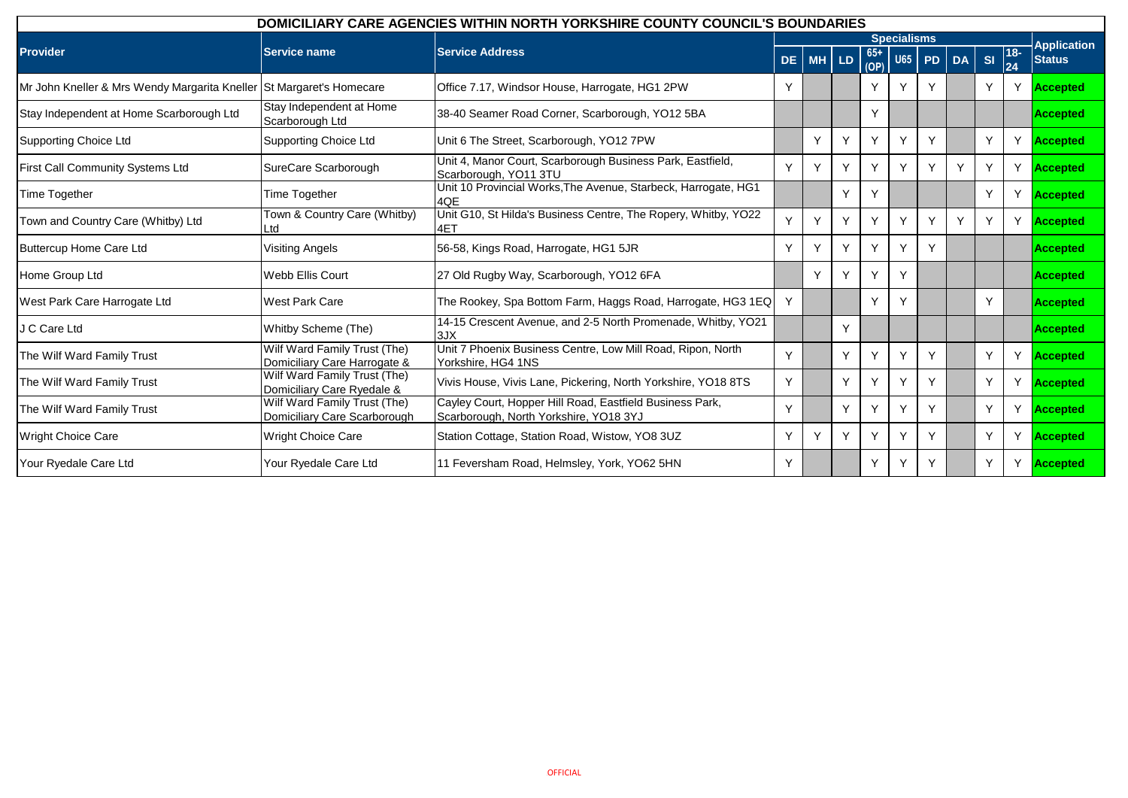| DOMICILIARY CARE AGENCIES WITHIN NORTH YORKSHIRE COUNTY COUNCIL'S BOUNDARIES |                                                              |                                                                                                    |    |       |   |               |                    |           |           |    |             |                    |
|------------------------------------------------------------------------------|--------------------------------------------------------------|----------------------------------------------------------------------------------------------------|----|-------|---|---------------|--------------------|-----------|-----------|----|-------------|--------------------|
|                                                                              |                                                              |                                                                                                    |    |       |   |               | <b>Specialisms</b> |           |           |    |             | <b>Application</b> |
| <b>Provider</b>                                                              | Service name                                                 | <b>Service Address</b>                                                                             | DE | MH LD |   | $65+$<br>(OP) | <b>U65</b>         | <b>PD</b> | <b>DA</b> | SI | $18-$<br>24 | <b>Status</b>      |
| Mr John Kneller & Mrs Wendy Margarita Kneller                                | St Margaret's Homecare                                       | Office 7.17, Windsor House, Harrogate, HG1 2PW                                                     | Y  |       |   | Y             |                    |           |           | Y  | Y           | <b>Accepted</b>    |
| Stay Independent at Home Scarborough Ltd                                     | Stay Independent at Home<br>Scarborough Ltd                  | 38-40 Seamer Road Corner, Scarborough, YO12 5BA                                                    |    |       |   | Y             |                    |           |           |    |             | Accepted           |
| <b>Supporting Choice Ltd</b>                                                 | Supporting Choice Ltd                                        | Unit 6 The Street, Scarborough, YO12 7PW                                                           |    | Υ     | Y |               | Y                  | Υ         |           | Y  | Y           | Accepted           |
| First Call Community Systems Ltd                                             | SureCare Scarborough                                         | Unit 4, Manor Court, Scarborough Business Park, Eastfield,<br>Scarborough, YO11 3TU                | Y  | Υ     | Y | Y             | Υ                  | Υ         | Y         | Y  | Y           | <b>Accepted</b>    |
| Time Together                                                                | Time Together                                                | Unit 10 Provincial Works, The Avenue, Starbeck, Harrogate, HG1<br>4QE                              |    |       | Y | $\checkmark$  |                    |           |           | Y  | Y           | <b>Accepted</b>    |
| Town and Country Care (Whitby) Ltd                                           | Town & Country Care (Whitby)<br>Ltd                          | Unit G10, St Hilda's Business Centre, The Ropery, Whitby, YO22<br>4ET                              | v. | Y     | Y | $\vee$        | Y                  | Y         | Υ         | Y  | Y           | <b>Accepted</b>    |
| <b>Buttercup Home Care Ltd</b>                                               | <b>Visiting Angels</b>                                       | 56-58, Kings Road, Harrogate, HG1 5JR                                                              | Y  | Y     | Y | Y             | Υ                  | Υ         |           |    |             | <b>Accepted</b>    |
| Home Group Ltd                                                               | Webb Ellis Court                                             | 27 Old Rugby Way, Scarborough, YO12 6FA                                                            |    | Υ     | Y |               | $\vee$             |           |           |    |             | Accepted           |
| West Park Care Harrogate Ltd                                                 | <b>West Park Care</b>                                        | The Rookey, Spa Bottom Farm, Haggs Road, Harrogate, HG3 1EQ                                        | Y  |       |   | $\checkmark$  | ٧                  |           |           | Y  |             | Accepted           |
| J C Care Ltd                                                                 | Whitby Scheme (The)                                          | 14-15 Crescent Avenue, and 2-5 North Promenade, Whitby, YO21<br>3JX                                |    |       | Y |               |                    |           |           |    |             | Accepted           |
| The Wilf Ward Family Trust                                                   | Wilf Ward Family Trust (The)<br>Domiciliary Care Harrogate & | Unit 7 Phoenix Business Centre, Low Mill Road, Ripon, North<br>Yorkshire, HG4 1NS                  | v  |       | Y |               | $\checkmark$       | Υ         |           | Y  | Y           | Accepted           |
| The Wilf Ward Family Trust                                                   | Wilf Ward Family Trust (The)<br>Domiciliary Care Ryedale &   | Vivis House, Vivis Lane, Pickering, North Yorkshire, YO18 8TS                                      | Y  |       | Y | Y             | Υ                  | Υ         |           | Y  | Y           | <b>Accepted</b>    |
| The Wilf Ward Family Trust                                                   | Wilf Ward Family Trust (The)<br>Domiciliary Care Scarborough | Cayley Court, Hopper Hill Road, Eastfield Business Park,<br>Scarborough, North Yorkshire, YO18 3YJ | Y  |       | Y |               | v                  | Υ         |           | Y  | Y           | <b>Accepted</b>    |
| Wright Choice Care                                                           | Wright Choice Care                                           | Station Cottage, Station Road, Wistow, YO8 3UZ                                                     | Υ  |       | Y |               |                    | Υ         |           | Y  | Y           | <b>Accepted</b>    |
| Your Ryedale Care Ltd                                                        | Your Ryedale Care Ltd                                        | 11 Feversham Road, Helmsley, York, YO62 5HN                                                        | Y  |       |   | Y             | Υ                  | Υ         |           | Y  | Y           | <b>Accepted</b>    |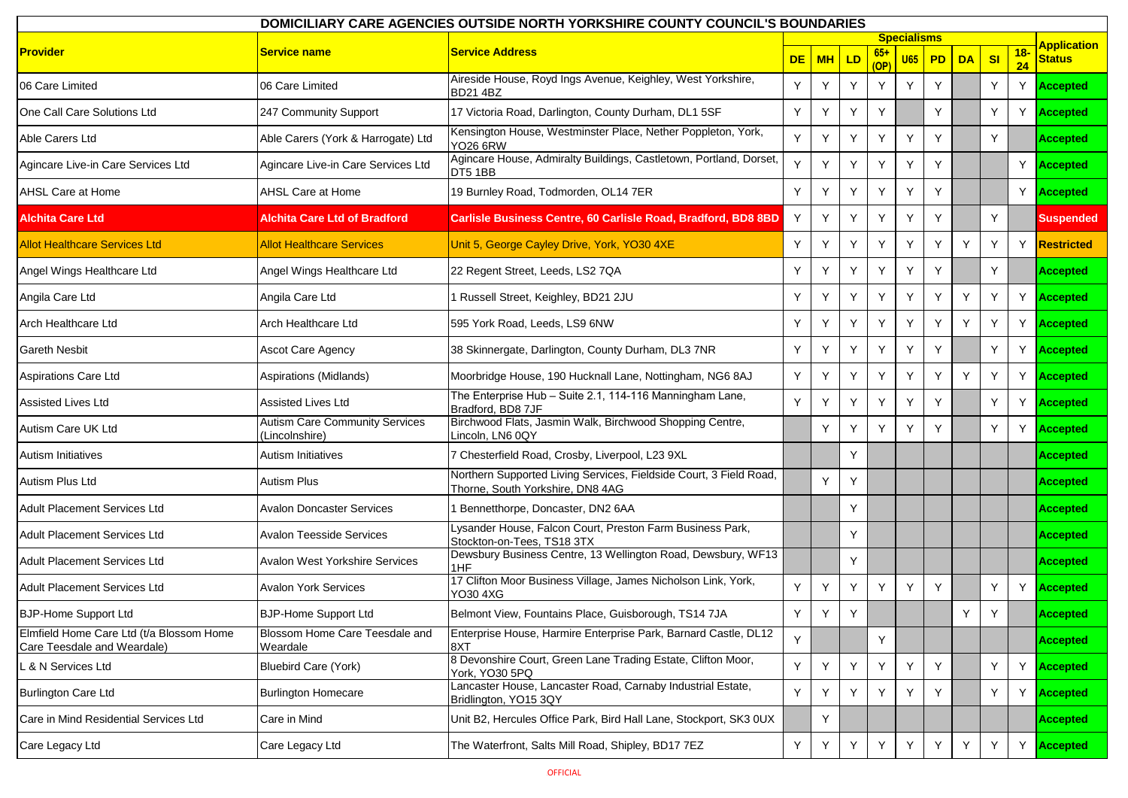| DOMICILIARY CARE AGENCIES OUTSIDE NORTH YORKSHIRE COUNTY COUNCIL'S BOUNDARIES |                                                         |                                                                                                        |           |           |    |                      |                    |    |           |                |              |                    |
|-------------------------------------------------------------------------------|---------------------------------------------------------|--------------------------------------------------------------------------------------------------------|-----------|-----------|----|----------------------|--------------------|----|-----------|----------------|--------------|--------------------|
|                                                                               |                                                         |                                                                                                        |           |           |    |                      | <b>Specialisms</b> |    |           |                |              | <b>Application</b> |
| <b>Provider</b>                                                               | Service name                                            | <b>Service Address</b>                                                                                 | <b>DE</b> | <b>MH</b> | LD | $65+$<br>(OP)        | <b>U65</b>         | PD | <b>DA</b> | S <sub>l</sub> | $18 -$<br>24 | <b>Status</b>      |
| 06 Care Limited                                                               | 06 Care Limited                                         | Aireside House, Royd Ings Avenue, Keighley, West Yorkshire,<br><b>BD21 4BZ</b>                         | Y         | Υ         | Y  | Y                    | Y                  | Y  |           | Y              | Y            | <b>Accepted</b>    |
| One Call Care Solutions Ltd                                                   | 247 Community Support                                   | 17 Victoria Road, Darlington, County Durham, DL1 5SF                                                   | Y         | Υ         | Y  | Y                    |                    | Y  |           | Y              | Y            | <b>Accepted</b>    |
| Able Carers Ltd                                                               | Able Carers (York & Harrogate) Ltd                      | Kensington House, Westminster Place, Nether Poppleton, York,<br><b>YO26 6RW</b>                        | Y         | Y         | Y  | Y                    | Y                  | Y  |           | Y              |              | <b>Accepted</b>    |
| Agincare Live-in Care Services Ltd                                            | Agincare Live-in Care Services Ltd                      | Agincare House, Admiralty Buildings, Castletown, Portland, Dorset,<br>DT5 1BB                          |           |           | Y  | Y                    | Y                  | Y  |           |                | Y            | <b>Accepted</b>    |
| AHSL Care at Home                                                             | <b>AHSL Care at Home</b>                                | 19 Burnley Road, Todmorden, OL14 7ER                                                                   | Y         | Υ         | Y  | Y                    | Y                  | Υ  |           |                |              | Y Accepted         |
| <b>Alchita Care Ltd</b>                                                       | Alchita Care Ltd of Bradford                            | Carlisle Business Centre, 60 Carlisle Road, Bradford, BD8 8BD                                          | Υ         | Y         | Y  | Y                    | Y                  | Y  |           | Y              |              | <b>Suspended</b>   |
| <b>Allot Healthcare Services Ltd</b>                                          | <b>Allot Healthcare Services</b>                        | Unit 5, George Cayley Drive, York, YO30 4XE                                                            | Y         | Υ         | Y  | Y                    | Y                  | Y  | Y         | Y              | Y.           | <b>Restricted</b>  |
| Angel Wings Healthcare Ltd                                                    | Angel Wings Healthcare Ltd                              | 22 Regent Street, Leeds, LS2 7QA                                                                       | Y         |           | Y  | Y                    | Y                  | Y  |           | Y              |              | <b>Accepted</b>    |
| Angila Care Ltd                                                               | Angila Care Ltd                                         | 1 Russell Street, Keighley, BD21 2JU                                                                   | Y         | Υ         | Y  | Y                    | Y                  | Y  | Y         | Y              | Y.           | <b>Accepted</b>    |
| <b>Arch Healthcare Ltd</b>                                                    | Arch Healthcare Ltd                                     | 595 York Road, Leeds, LS9 6NW                                                                          | Y         | Υ         | Y  | Y                    | Y                  | Y  | Y         | Y              | Y.           | <b>Accepted</b>    |
| <b>Gareth Nesbit</b>                                                          | Ascot Care Agency                                       | 38 Skinnergate, Darlington, County Durham, DL3 7NR                                                     | Y         |           | Y  | <b>Y</b>             | Y                  | Y  |           | Y              | Y            | <b>Accepted</b>    |
| <b>Aspirations Care Ltd</b>                                                   | Aspirations (Midlands)                                  | Moorbridge House, 190 Hucknall Lane, Nottingham, NG6 8AJ                                               | Y         | Υ         | Y  | Y                    | Y                  | Υ  | Y         | Y              | Y.           | <b>Accepted</b>    |
| <b>Assisted Lives Ltd</b>                                                     | <b>Assisted Lives Ltd</b>                               | The Enterprise Hub - Suite 2.1, 114-116 Manningham Lane,<br>Bradford, BD8 7JF                          | Y         | Υ         | Y  | Y                    | Y                  | Y  |           | Y              | Y            | <b>Accepted</b>    |
| Autism Care UK Ltd                                                            | <b>Autism Care Community Services</b><br>(Lincolnshire) | Birchwood Flats, Jasmin Walk, Birchwood Shopping Centre,<br>Lincoln, LN6 0QY                           |           | Υ         |    | $\mathbf{\check{v}}$ | Y                  | Y  |           | Y              | Y            | <b>Accepted</b>    |
| <b>Autism Initiatives</b>                                                     | <b>Autism Initiatives</b>                               | 7 Chesterfield Road, Crosby, Liverpool, L23 9XL                                                        |           |           | Y  |                      |                    |    |           |                |              | <b>Accepted</b>    |
| Autism Plus Ltd                                                               | <b>Autism Plus</b>                                      | Northern Supported Living Services, Fieldside Court, 3 Field Road,<br>Thorne, South Yorkshire, DN8 4AG |           | Y         | Y  |                      |                    |    |           |                |              | <b>Accepted</b>    |
| <b>Adult Placement Services Ltd</b>                                           | <b>Avalon Doncaster Services</b>                        | 1 Bennetthorpe, Doncaster, DN2 6AA                                                                     |           |           | Y  |                      |                    |    |           |                |              | <b>Accepted</b>    |
| <b>Adult Placement Services Ltd</b>                                           | <b>Avalon Teesside Services</b>                         | Lysander House, Falcon Court, Preston Farm Business Park,<br>Stockton-on-Tees, TS18 3TX                |           |           | Y  |                      |                    |    |           |                |              | <b>Accepted</b>    |
| Adult Placement Services Ltd                                                  | <b>Avalon West Yorkshire Services</b>                   | Dewsbury Business Centre, 13 Wellington Road, Dewsbury, WF13<br>1HF                                    |           |           | Y  |                      |                    |    |           |                |              | <b>Accepted</b>    |
| <b>Adult Placement Services Ltd</b>                                           | <b>Avalon York Services</b>                             | 17 Clifton Moor Business Village, James Nicholson Link, York,<br>YO30 4XG                              | Y         | Y         | Y  | Y                    | Y                  | Y  |           | Y              | Y            | <b>Accepted</b>    |
| <b>BJP-Home Support Ltd</b>                                                   | <b>BJP-Home Support Ltd</b>                             | Belmont View, Fountains Place, Guisborough, TS14 7JA                                                   | Y         | Y         | Y  |                      |                    |    | Y         | Y              |              | <b>Accepted</b>    |
| Elmfield Home Care Ltd (t/a Blossom Home<br>Care Teesdale and Weardale)       | Blossom Home Care Teesdale and<br>Weardale              | Enterprise House, Harmire Enterprise Park, Barnard Castle, DL12<br>8XT                                 | Y         |           |    | Y                    |                    |    |           |                |              | <b>Accepted</b>    |
| L & N Services Ltd                                                            | <b>Bluebird Care (York)</b>                             | 8 Devonshire Court, Green Lane Trading Estate, Clifton Moor,<br>York, YO30 5PQ                         | Y         | Y         | Y  | Y                    | Y                  | Y  |           | Y              | Y            | <b>Accepted</b>    |
| Burlington Care Ltd                                                           | <b>Burlington Homecare</b>                              | Lancaster House, Lancaster Road, Carnaby Industrial Estate,<br>Bridlington, YO15 3QY                   | Y         | Y         | Y  | Y                    | Y                  | Y  |           | Y              |              | Y <b>Accepted</b>  |
| Care in Mind Residential Services Ltd                                         | Care in Mind                                            | Unit B2, Hercules Office Park, Bird Hall Lane, Stockport, SK3 0UX                                      |           | Y         |    |                      |                    |    |           |                |              | <b>Accepted</b>    |
| Care Legacy Ltd                                                               | Care Legacy Ltd                                         | The Waterfront, Salts Mill Road, Shipley, BD17 7EZ                                                     | Y.        | Y         | Y  | Y                    | $\mathsf Y$        | Y  | Y         | Y              | Y            | <b>Accepted</b>    |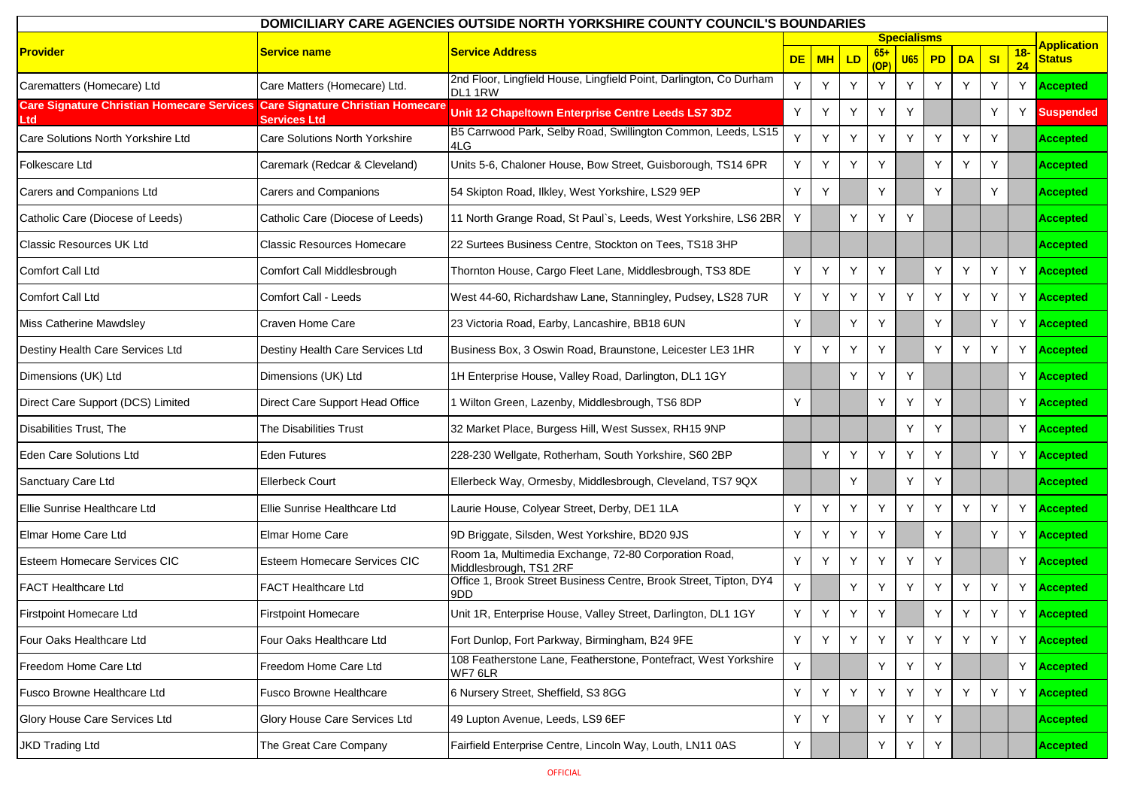| DOMICILIARY CARE AGENCIES OUTSIDE NORTH YORKSHIRE COUNTY COUNCIL'S BOUNDARIES |                                                          |                                                                                 |           |           |    |      |                    |    |           |    |             |                    |
|-------------------------------------------------------------------------------|----------------------------------------------------------|---------------------------------------------------------------------------------|-----------|-----------|----|------|--------------------|----|-----------|----|-------------|--------------------|
|                                                                               |                                                          |                                                                                 |           |           |    |      | <b>Specialisms</b> |    |           |    |             | <b>Application</b> |
| <b>Provider</b>                                                               | Service name                                             | <b>Service Address</b>                                                          | <b>DE</b> | <b>MH</b> | LD | (OP) | <b>U65</b>         | PD | <b>DA</b> | SI | $18-$<br>24 | <b>Status</b>      |
| Carematters (Homecare) Ltd                                                    | Care Matters (Homecare) Ltd.                             | 2nd Floor, Lingfield House, Lingfield Point, Darlington, Co Durham<br>DL1 1RW   | Y         | Y         | Y  | Y    | Y                  | Y  | Y         | Y  | Y           | <b>Accepted</b>    |
| <b>Care Signature Christian Homecare Services</b>                             | <b>Care Signature Christian Homecare</b><br>Services Ltd | Unit 12 Chapeltown Enterprise Centre Leeds LS7 3DZ                              | Y         | Υ         | Y  | Y    | Y                  |    |           | Y  | Y           | <b>Suspended</b>   |
| Care Solutions North Yorkshire Ltd                                            | Care Solutions North Yorkshire                           | B5 Carrwood Park, Selby Road, Swillington Common, Leeds, LS15<br>4LG            | Y         |           | Y  | Y    | Y                  | Y  | Y         | Y  |             | <b>Accepted</b>    |
| <b>Folkescare Ltd</b>                                                         | Caremark (Redcar & Cleveland)                            | Units 5-6, Chaloner House, Bow Street, Guisborough, TS14 6PR                    | Y         | Y         | Y  | Y    |                    | Y  | Y         | Y  |             | <b>Accepted</b>    |
| Carers and Companions Ltd                                                     | <b>Carers and Companions</b>                             | 54 Skipton Road, Ilkley, West Yorkshire, LS29 9EP                               | Y         | Υ         |    | Y    |                    | Y  |           | Y  |             | <b>Accepted</b>    |
| Catholic Care (Diocese of Leeds)                                              | Catholic Care (Diocese of Leeds)                         | 11 North Grange Road, St Paul's, Leeds, West Yorkshire, LS6 2BR                 | Y         |           | Y  | Y    | Y                  |    |           |    |             | <b>Accepted</b>    |
| <b>Classic Resources UK Ltd</b>                                               | <b>Classic Resources Homecare</b>                        | 22 Surtees Business Centre, Stockton on Tees, TS18 3HP                          |           |           |    |      |                    |    |           |    |             | <b>Accepted</b>    |
| <b>Comfort Call Ltd</b>                                                       | Comfort Call Middlesbrough                               | Thornton House, Cargo Fleet Lane, Middlesbrough, TS3 8DE                        | Y         | Υ         | Y  | Y    |                    | Y  | Y         | Y  | Y           | <b>Accepted</b>    |
| <b>Comfort Call Ltd</b>                                                       | <b>Comfort Call - Leeds</b>                              | West 44-60, Richardshaw Lane, Stanningley, Pudsey, LS28 7UR                     | Y         | Υ         | Y  | Y    | Y                  | Y  | Y         | Y  | Y           | <b>Accepted</b>    |
| <b>Miss Catherine Mawdsley</b>                                                | Craven Home Care                                         | 23 Victoria Road, Earby, Lancashire, BB18 6UN                                   | Y         |           | Y  | Y    |                    | Y  |           | Y  | Y           | <b>Accepted</b>    |
| Destiny Health Care Services Ltd                                              | Destiny Health Care Services Ltd                         | Business Box, 3 Oswin Road, Braunstone, Leicester LE3 1HR                       | Y         | Υ         |    | Y    |                    | Y  | Y         | Y  | Y           | <b>Accepted</b>    |
| Dimensions (UK) Ltd                                                           | Dimensions (UK) Ltd                                      | 1H Enterprise House, Valley Road, Darlington, DL1 1GY                           |           |           | Y  | Υ    | Y                  |    |           |    | Y           | <b>Accepted</b>    |
| Direct Care Support (DCS) Limited                                             | Direct Care Support Head Office                          | 1 Wilton Green, Lazenby, Middlesbrough, TS6 8DP                                 | Y         |           |    | Y    | Υ                  | Y  |           |    | Y           | <b>Accepted</b>    |
| Disabilities Trust, The                                                       | The Disabilities Trust                                   | 32 Market Place, Burgess Hill, West Sussex, RH15 9NP                            |           |           |    |      | Y                  | Y  |           |    | Y           | <b>Accepted</b>    |
| <b>Eden Care Solutions Ltd</b>                                                | Eden Futures                                             | 228-230 Wellgate, Rotherham, South Yorkshire, S60 2BP                           |           | Y         | Y  | Y    | Y                  | Y  |           | Y  | Y           | <b>Accepted</b>    |
| Sanctuary Care Ltd                                                            | <b>Ellerbeck Court</b>                                   | Ellerbeck Way, Ormesby, Middlesbrough, Cleveland, TS7 9QX                       |           |           | Y  |      | Y                  | Y  |           |    |             | <b>Accepted</b>    |
| Ellie Sunrise Healthcare Ltd                                                  | Ellie Sunrise Healthcare Ltd                             | Laurie House, Colyear Street, Derby, DE1 1LA                                    | Y         | Υ         | Υ  | Y    | Y                  | Y  | Y         | Y  | Y           | <b>Accepted</b>    |
| Elmar Home Care Ltd                                                           | Elmar Home Care                                          | 9D Briggate, Silsden, West Yorkshire, BD20 9JS                                  | Y         |           | Υ  | Y    |                    | Y  |           | Y  | Y           | <b>Accepted</b>    |
| <b>Esteem Homecare Services CIC</b>                                           | <b>Esteem Homecare Services CIC</b>                      | Room 1a, Multimedia Exchange, 72-80 Corporation Road,<br>Middlesbrough, TS1 2RF | Y         | Υ         | Y  | Y    | Y                  | Y  |           |    | Y           | <b>Accepted</b>    |
| <b>FACT Healthcare Ltd</b>                                                    | <b>FACT Healthcare Ltd</b>                               | Office 1, Brook Street Business Centre, Brook Street, Tipton, DY4<br>9DD        | Y         |           | Y  | Y    | Y                  | Y  | Y         | Y  | Y           | <b>Accepted</b>    |
| Firstpoint Homecare Ltd                                                       | <b>Firstpoint Homecare</b>                               | Unit 1R, Enterprise House, Valley Street, Darlington, DL1 1GY                   | Y         | Y         | Y  | Y    |                    | Y  | $\vee$    | Y  | Y           | <b>Accepted</b>    |
| Four Oaks Healthcare Ltd                                                      | Four Oaks Healthcare Ltd                                 | Fort Dunlop, Fort Parkway, Birmingham, B24 9FE                                  | Y         | Y         | Y  | Y    | Y                  | Y  | Y         | Y  | Y           | Accepted           |
| Freedom Home Care Ltd                                                         | Freedom Home Care Ltd                                    | 108 Featherstone Lane, Featherstone, Pontefract, West Yorkshire<br>WF7 6LR      | Y         |           |    | Y    | Y                  | Y  |           |    | Y.          | <b>Accepted</b>    |
| Fusco Browne Healthcare Ltd                                                   | Fusco Browne Healthcare                                  | 6 Nursery Street, Sheffield, S3 8GG                                             | Y         | Y         | Y  | Y    | Y                  | Y  | Y         | Y  | Y           | <b>Accepted</b>    |
| Glory House Care Services Ltd                                                 | Glory House Care Services Ltd                            | 49 Lupton Avenue, Leeds, LS9 6EF                                                | Y         | Y         |    | Y    | Υ                  | Y  |           |    |             | <b>Accepted</b>    |
| <b>JKD Trading Ltd</b>                                                        | The Great Care Company                                   | Fairfield Enterprise Centre, Lincoln Way, Louth, LN11 0AS                       | Y         |           |    | Y    | Y                  | Y  |           |    |             | <b>Accepted</b>    |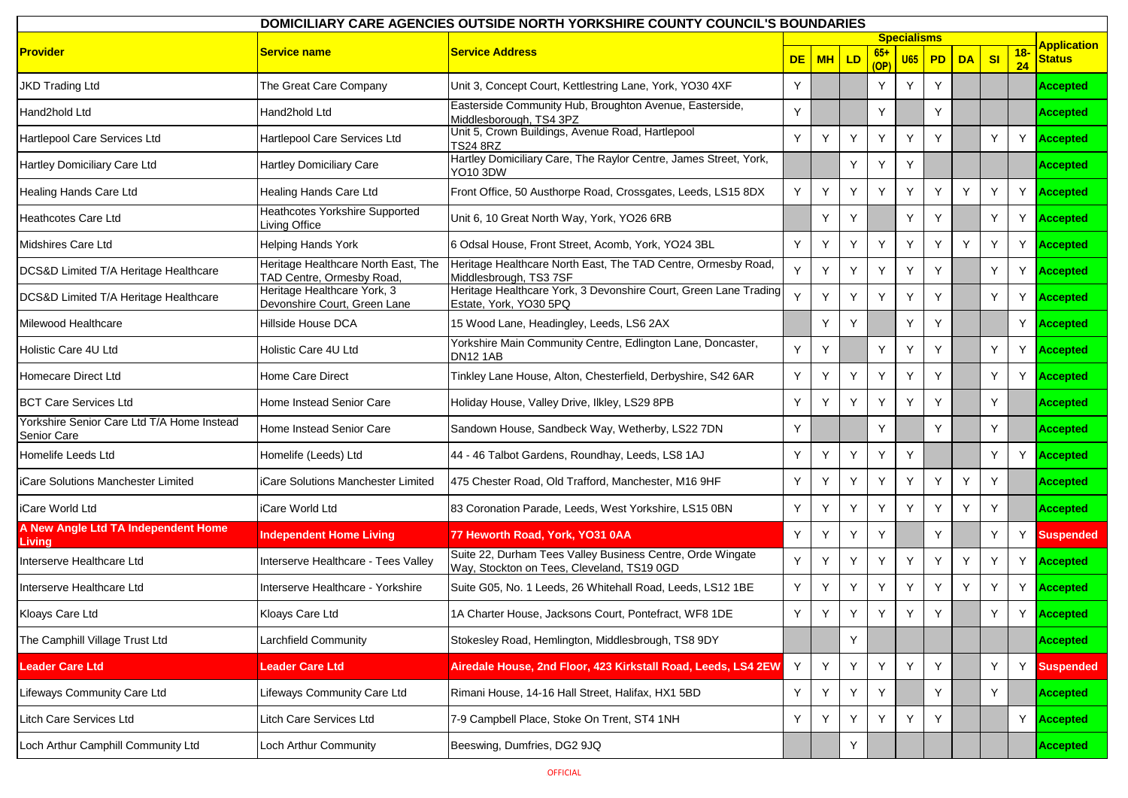| DOMICILIARY CARE AGENCIES OUTSIDE NORTH YORKSHIRE COUNTY COUNCIL'S BOUNDARIES |                                                                  |                                                                                                          |           |     |    |                      |                    |    |           |    |             |                    |
|-------------------------------------------------------------------------------|------------------------------------------------------------------|----------------------------------------------------------------------------------------------------------|-----------|-----|----|----------------------|--------------------|----|-----------|----|-------------|--------------------|
|                                                                               |                                                                  |                                                                                                          |           |     |    |                      | <b>Specialisms</b> |    |           |    |             | <b>Application</b> |
| <b>Provider</b>                                                               | Service name                                                     | <b>Service Address</b>                                                                                   | <b>DE</b> | MHI | LD | $65+$<br>(OP         | <b>U65</b>         | PD | <b>DA</b> | SI | $18-$<br>24 | <b>Status</b>      |
| <b>JKD Trading Ltd</b>                                                        | The Great Care Company                                           | Unit 3, Concept Court, Kettlestring Lane, York, YO30 4XF                                                 | Y         |     |    | Y                    | Y                  | Y  |           |    |             | <b>Accepted</b>    |
| Hand2hold Ltd                                                                 | Hand2hold Ltd                                                    | Easterside Community Hub, Broughton Avenue, Easterside,<br>Middlesborough, TS4 3PZ                       | Y         |     |    | Y                    |                    | Y  |           |    |             | <b>Accepted</b>    |
| Hartlepool Care Services Ltd                                                  | Hartlepool Care Services Ltd                                     | Unit 5, Crown Buildings, Avenue Road, Hartlepool<br><b>TS24 8RZ</b>                                      | Y         | Υ   | Y  | Y                    | Y                  | Y  |           | Y  | Y           | <b>Accepted</b>    |
| Hartley Domiciliary Care Ltd                                                  | <b>Hartley Domiciliary Care</b>                                  | Hartley Domiciliary Care, The Raylor Centre, James Street, York,<br>YO10 3DW                             |           |     | Y  | Y                    | Y                  |    |           |    |             | <b>Accepted</b>    |
| Healing Hands Care Ltd                                                        | Healing Hands Care Ltd                                           | Front Office, 50 Austhorpe Road, Crossgates, Leeds, LS15 8DX                                             | Y         | Y   | Y  | Y                    | Y                  | Y  | Y         | Y  | Y           | <b>Accepted</b>    |
| <b>Heathcotes Care Ltd</b>                                                    | Heathcotes Yorkshire Supported<br>Living Office                  | Unit 6, 10 Great North Way, York, YO26 6RB                                                               |           | Y   | Y  |                      | Y                  | Y  |           | Y  |             | Y Accepted         |
| Midshires Care Ltd                                                            | <b>Helping Hands York</b>                                        | 6 Odsal House, Front Street, Acomb, York, YO24 3BL                                                       | Y         |     | Y  | Y                    | Y                  | Y  | Y         | Y  | Y           | <b>Accepted</b>    |
| DCS&D Limited T/A Heritage Healthcare                                         | Heritage Healthcare North East, The<br>TAD Centre, Ormesby Road, | Heritage Healthcare North East, The TAD Centre, Ormesby Road,<br>Middlesbrough, TS3 7SF                  | Y         |     | Y  | $\mathbf{\check{v}}$ | Y                  | Υ  |           | Y  | Y.          | <b>Accepted</b>    |
| DCS&D Limited T/A Heritage Healthcare                                         | Heritage Healthcare York, 3<br>Devonshire Court, Green Lane      | Heritage Healthcare York, 3 Devonshire Court, Green Lane Trading<br>Estate, York, YO30 5PQ               | Y         | Y   | Y  | Y                    | Y                  | Y  |           | Y  | Y           | <b>Accepted</b>    |
| Milewood Healthcare                                                           | Hillside House DCA                                               | 15 Wood Lane, Headingley, Leeds, LS6 2AX                                                                 |           | Υ   | Y  |                      | Y                  | ٧  |           |    | Y           | <b>Accepted</b>    |
| Holistic Care 4U Ltd                                                          | Holistic Care 4U Ltd                                             | Yorkshire Main Community Centre, Edlington Lane, Doncaster,<br><b>DN12 1AB</b>                           | Y         | Υ   |    | Y                    | Y                  | Y  |           | Y  | Y           | <b>Accepted</b>    |
| <b>Homecare Direct Ltd</b>                                                    | Home Care Direct                                                 | Tinkley Lane House, Alton, Chesterfield, Derbyshire, S42 6AR                                             | Y         | Y   | Y  | Y                    | Y                  | Υ  |           | Y  | Y.          | <b>Accepted</b>    |
| <b>BCT Care Services Ltd</b>                                                  | Home Instead Senior Care                                         | Holiday House, Valley Drive, Ilkley, LS29 8PB                                                            | Y         | Υ   | Y  | Y                    | Y                  | Y  |           | Y  |             | <b>Accepted</b>    |
| Yorkshire Senior Care Ltd T/A Home Instead<br>Senior Care                     | Home Instead Senior Care                                         | Sandown House, Sandbeck Way, Wetherby, LS22 7DN                                                          | Υ         |     |    | Y                    |                    | Υ  |           | Y  |             | <b>Accepted</b>    |
| Homelife Leeds Ltd                                                            | Homelife (Leeds) Ltd                                             | 44 - 46 Talbot Gardens, Roundhay, Leeds, LS8 1AJ                                                         | Y         |     | Y  | <b>Y</b>             | Y                  |    |           | Y  |             | Y Accepted         |
| iCare Solutions Manchester Limited                                            | iCare Solutions Manchester Limited                               | 475 Chester Road, Old Trafford, Manchester, M16 9HF                                                      | Y         | Υ   | Y  | Y                    | Y                  | Y  | Y         | Y  |             | <b>Accepted</b>    |
| iCare World Ltd                                                               | iCare World Ltd                                                  | 83 Coronation Parade, Leeds, West Yorkshire, LS15 0BN                                                    | Y         |     |    | <b>Y</b>             | Y                  | Υ  | Y         | Y  |             | <b>Accepted</b>    |
| A New Angle Ltd TA Independent Home<br><b>Living</b>                          | <b>Independent Home Living</b>                                   | 77 Heworth Road, York, YO31 0AA                                                                          | Y         |     | Y  | Y                    |                    | Y  |           | Y  |             | Y Suspended        |
| Interserve Healthcare Ltd                                                     | Interserve Healthcare - Tees Valley                              | Suite 22, Durham Tees Valley Business Centre, Orde Wingate<br>Way, Stockton on Tees, Cleveland, TS19 0GD | Y         | Υ   | Y  | Y                    | Y                  | Y  | Y         | Y  | Y.          | <b>Accepted</b>    |
| Interserve Healthcare Ltd                                                     | Interserve Healthcare - Yorkshire                                | Suite G05, No. 1 Leeds, 26 Whitehall Road, Leeds, LS12 1BE                                               | Y         | Y   | Y  | Y                    | Y                  | Y  | Y         | Y  |             | Y <b>Accepted</b>  |
| Kloays Care Ltd                                                               | Kloays Care Ltd                                                  | 1A Charter House, Jacksons Court, Pontefract, WF8 1DE                                                    | v.        | Y   | Y  | Y                    | Y                  | Y  |           | Y  | Y           | <b>Accepted</b>    |
| The Camphill Village Trust Ltd                                                | Larchfield Community                                             | Stokesley Road, Hemlington, Middlesbrough, TS8 9DY                                                       |           |     | Y  |                      |                    |    |           |    |             | <b>Accepted</b>    |
| <b>Leader Care Ltd</b>                                                        | Leader Care Ltd                                                  | Airedale House, 2nd Floor, 423 Kirkstall Road, Leeds, LS4 2EW                                            | Y         | Y   | Y  | Y                    | Y                  | Y  |           | Y  | Y           | <b>Suspended</b>   |
| Lifeways Community Care Ltd                                                   | ifeways Community Care Ltd                                       | Rimani House, 14-16 Hall Street, Halifax, HX1 5BD                                                        | Y         |     | Y  | Y                    |                    | Y  |           | Y  |             | <b>Accepted</b>    |
| Litch Care Services Ltd                                                       | Litch Care Services Ltd                                          | 7-9 Campbell Place, Stoke On Trent, ST4 1NH                                                              | Y         | Y   | Y  | Y                    | Y                  | Y  |           |    | Y           | <b>Accepted</b>    |
| Loch Arthur Camphill Community Ltd                                            | Loch Arthur Community                                            | Beeswing, Dumfries, DG2 9JQ                                                                              |           |     | Y  |                      |                    |    |           |    |             | <b>Accepted</b>    |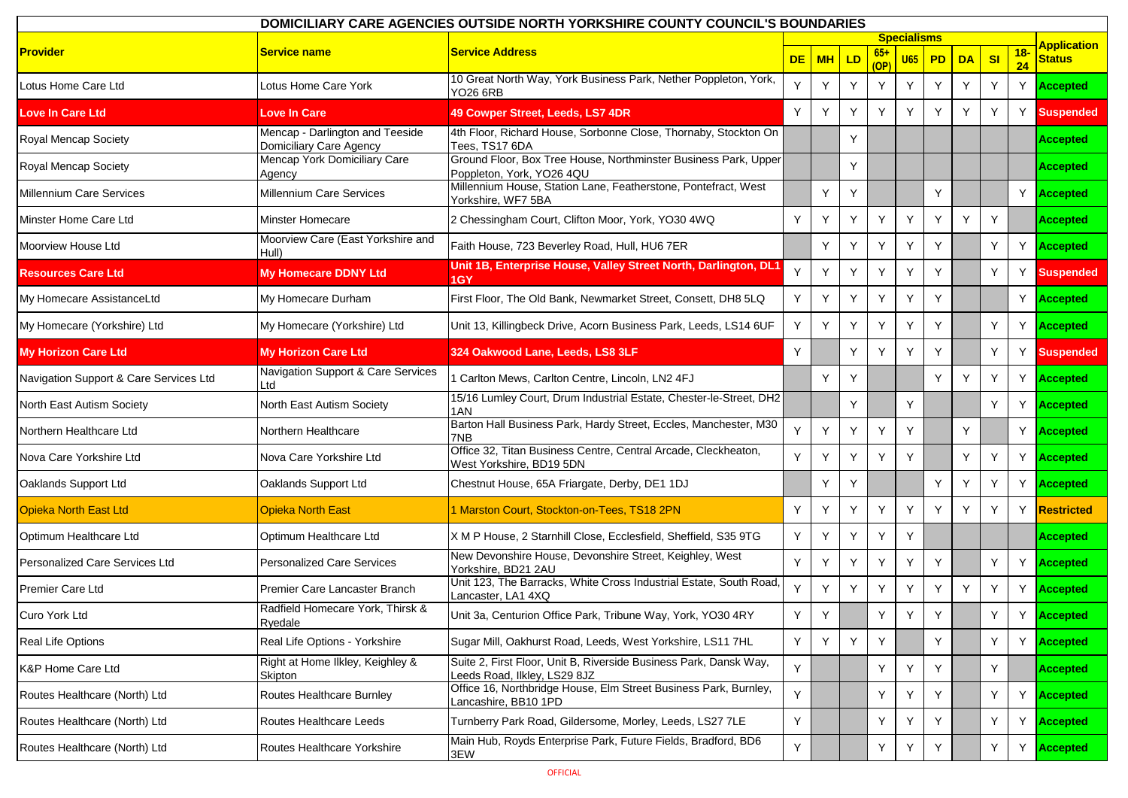| DOMICILIARY CARE AGENCIES OUTSIDE NORTH YORKSHIRE COUNTY COUNCIL'S BOUNDARIES |                                                            |                                                                                                   |           |           |    |               |                    |    |           |                |             |                         |
|-------------------------------------------------------------------------------|------------------------------------------------------------|---------------------------------------------------------------------------------------------------|-----------|-----------|----|---------------|--------------------|----|-----------|----------------|-------------|-------------------------|
|                                                                               |                                                            |                                                                                                   |           |           |    |               | <b>Specialisms</b> |    |           |                |             | <b>Application</b>      |
| <b>Provider</b>                                                               | Service name                                               | <b>Service Address</b>                                                                            | <b>DE</b> | <b>MH</b> | LD | $65+$<br>(OP) | U65                | PD | <b>DA</b> | S <sub>l</sub> | $18-$<br>24 | <b>Status</b>           |
| Lotus Home Care Ltd                                                           | Lotus Home Care York                                       | 10 Great North Way, York Business Park, Nether Poppleton, York,<br>YO26 6RB                       | Υ         | Υ         | Y  | Y             | Y                  | Y  | Y         | Y              |             | Y <b>Accepted</b>       |
| <b>Love In Care Ltd</b>                                                       | Love In Care                                               | 49 Cowper Street, Leeds, LS7 4DR                                                                  | Y         | Y         | Y  | Y             | Y                  | Y  | Y         | Y              |             | Y Suspended             |
| Royal Mencap Society                                                          | Mencap - Darlington and Teeside<br>Domiciliary Care Agency | 4th Floor, Richard House, Sorbonne Close, Thornaby, Stockton On<br>Tees, TS17 6DA                 |           |           | Y  |               |                    |    |           |                |             | <b>Accepted</b>         |
| Royal Mencap Society                                                          | Mencap York Domiciliary Care<br>Agency                     | Ground Floor, Box Tree House, Northminster Business Park, Upper<br>Poppleton, York, YO26 4QU      |           |           | Y  |               |                    |    |           |                |             | <b>Accepted</b>         |
| <b>Millennium Care Services</b>                                               | <b>Millennium Care Services</b>                            | Millennium House, Station Lane, Featherstone, Pontefract, West<br>Yorkshire, WF7 5BA              |           | Y         | Y  |               |                    | Y  |           |                |             | Y <b>Accepted</b>       |
| Minster Home Care Ltd                                                         | Minster Homecare                                           | 2 Chessingham Court, Clifton Moor, York, YO30 4WQ                                                 | Y         |           | Y  | Y             | Y                  | Y  | Y         | Y              |             | <b>Accepted</b>         |
| Moorview House Ltd                                                            | Moorview Care (East Yorkshire and<br>Hull)                 | Faith House, 723 Beverley Road, Hull, HU6 7ER                                                     |           | Y         | Y  | Y             | Y                  | Y  |           | Y              | Y           | <b>Accepted</b>         |
| <b>Resources Care Ltd</b>                                                     | My Homecare DDNY Ltd                                       | Unit 1B, Enterprise House, Valley Street North, Darlington, DL1<br>1GY                            |           | Y         | Y  | Y             | Y                  | Y  |           | Y              | Y           | <b>Suspended</b>        |
| My Homecare AssistanceLtd                                                     | My Homecare Durham                                         | First Floor, The Old Bank, Newmarket Street, Consett, DH8 5LQ                                     | Y         | Y         | Y  | Y             | Y                  | Y  |           |                |             | Y <b>Accepted</b>       |
| My Homecare (Yorkshire) Ltd                                                   | My Homecare (Yorkshire) Ltd                                | Unit 13, Killingbeck Drive, Acorn Business Park, Leeds, LS14 6UF                                  | Y         | Y         | Y  | Y             | Y                  | Y  |           | Y              | Y           | <b>Accepted</b>         |
| <b>My Horizon Care Ltd</b>                                                    | <b>My Horizon Care Ltd</b>                                 | 324 Oakwood Lane, Leeds, LS8 3LF                                                                  | Y         |           | Y  | Y             | Y                  | Y  |           | Y              | Y.          | <b>Suspended</b>        |
| Navigation Support & Care Services Ltd                                        | Navigation Support & Care Services<br>∟td                  | 1 Carlton Mews, Carlton Centre, Lincoln, LN2 4FJ                                                  |           | Y         | Y  |               |                    | Y  | Y         | Y              |             | Y <b>Accepted</b>       |
| North East Autism Society                                                     | North East Autism Society                                  | 15/16 Lumley Court, Drum Industrial Estate, Chester-le-Street, DH2<br>1AN                         |           |           | Y  |               | Y                  |    |           | Y              | Y           | <b>Accepted</b>         |
| Northern Healthcare Ltd                                                       | Northern Healthcare                                        | Barton Hall Business Park, Hardy Street, Eccles, Manchester, M30<br>7NB                           | Y         | Y         | Y  | Y             | Y                  |    | Y         |                | Y.          | <b>Accepted</b>         |
| Nova Care Yorkshire Ltd                                                       | Nova Care Yorkshire Ltd                                    | Office 32, Titan Business Centre, Central Arcade, Cleckheaton,<br>West Yorkshire, BD19 5DN        | Y         | Υ         | Y  | Y             | Y                  |    | Y         | Y              | Y.          | <b>Accepted</b>         |
| Oaklands Support Ltd                                                          | Oaklands Support Ltd                                       | Chestnut House, 65A Friargate, Derby, DE1 1DJ                                                     |           | Y         | Y  |               |                    | Y  | Y         | Y              |             | Y <b>Accepted</b>       |
| <b>Opieka North East Ltd</b>                                                  | <b>Opieka North East</b>                                   | 1 Marston Court, Stockton-on-Tees, TS18 2PN                                                       | Y         |           | Y  | Y             | Y                  | Y  | Y         | Y              | Y.          | <b>Restricted</b>       |
| Optimum Healthcare Ltd                                                        | Optimum Healthcare Ltd                                     | X M P House, 2 Starnhill Close, Ecclesfield, Sheffield, S35 9TG                                   | Y         | Y         | Y  | Y             | Y                  |    |           |                |             | <b>Accepted</b>         |
| Personalized Care Services Ltd                                                | <b>Personalized Care Services</b>                          | New Devonshire House, Devonshire Street, Keighley, West<br>Yorkshire, BD21 2AU                    | Y         | Y         | Y  | Y             | Y                  | Y  |           | Y              | Y           | <b>Accepted</b>         |
| <b>Premier Care Ltd</b>                                                       | Premier Care Lancaster Branch                              | Unit 123, The Barracks, White Cross Industrial Estate, South Road,<br>Lancaster, LA1 4XQ          | Y         | Υ         | Y  | Y             | Y                  | Y  | Y         | Y              |             | Y <b>Accepted</b>       |
| Curo York Ltd                                                                 | Radfield Homecare York, Thirsk &<br>Ryedale                | Unit 3a, Centurion Office Park, Tribune Way, York, YO30 4RY                                       | Y         | Y         |    | Y             | Y                  | Y  |           | Y              |             | Y <mark>Accepted</mark> |
| Real Life Options                                                             | Real Life Options - Yorkshire                              | Sugar Mill, Oakhurst Road, Leeds, West Yorkshire, LS11 7HL                                        | Y.        | Y         | Y  | Y             |                    | Y  |           | Y              | Y           | <b>Accepted</b>         |
| <b>K&amp;P Home Care Ltd</b>                                                  | Right at Home Ilkley, Keighley &<br>Skipton                | Suite 2, First Floor, Unit B, Riverside Business Park, Dansk Way,<br>Leeds Road, Ilkley, LS29 8JZ | Y         |           |    | Y             | Y                  | Y  |           | Y              |             | <b>Accepted</b>         |
| Routes Healthcare (North) Ltd                                                 | Routes Healthcare Burnley                                  | Office 16, Northbridge House, Elm Street Business Park, Burnley,<br>Lancashire, BB10 1PD          | Y         |           |    | Y             | Υ                  | Υ  |           | Y              | Y           | <b>Accepted</b>         |
| Routes Healthcare (North) Ltd                                                 | Routes Healthcare Leeds                                    | Turnberry Park Road, Gildersome, Morley, Leeds, LS27 7LE                                          | Y         |           |    | Y             | Υ                  | Y  |           | Y              |             | Y <b>Accepted</b>       |
| Routes Healthcare (North) Ltd                                                 | Routes Healthcare Yorkshire                                | Main Hub, Royds Enterprise Park, Future Fields, Bradford, BD6<br>3EW                              | Y         |           |    | Y             | Y                  | Y  |           | Y              | Y           | <b>Accepted</b>         |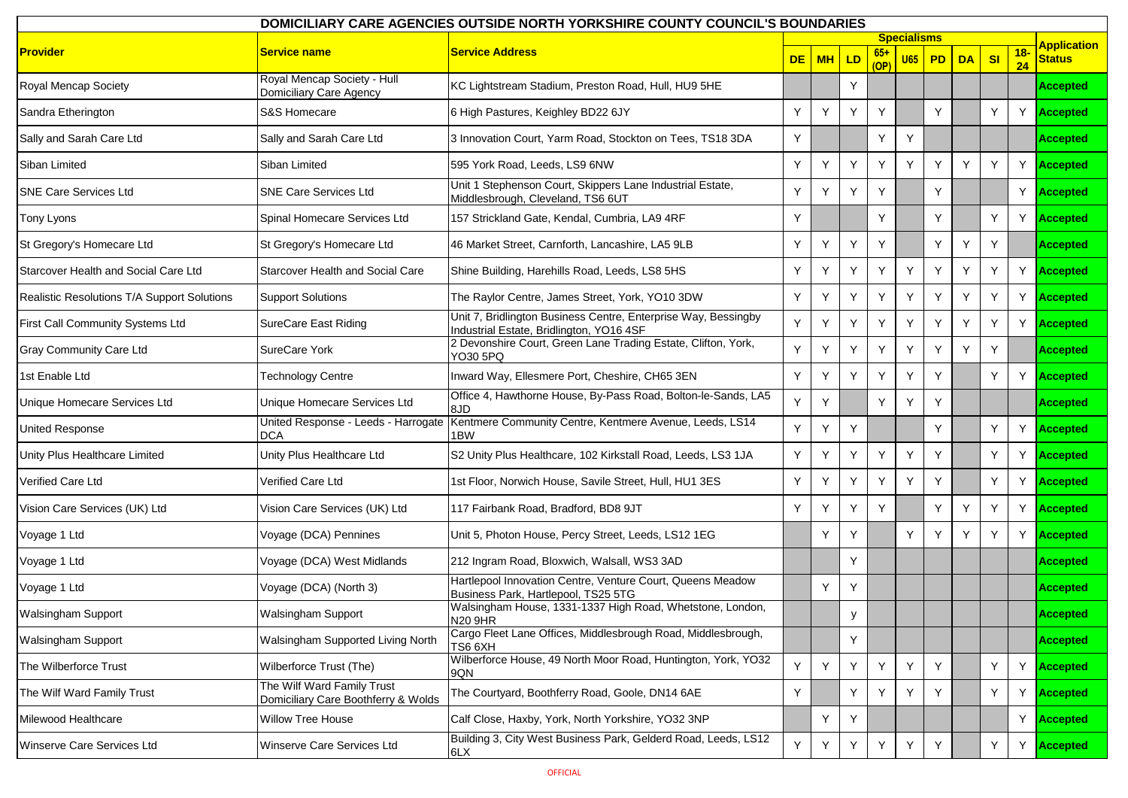| DOMICILIARY CARE AGENCIES OUTSIDE NORTH YORKSHIRE COUNTY COUNCIL'S BOUNDARIES |                                                                   |                                                                                                            |           |           |    |      |                    |    |           |                |             |                    |
|-------------------------------------------------------------------------------|-------------------------------------------------------------------|------------------------------------------------------------------------------------------------------------|-----------|-----------|----|------|--------------------|----|-----------|----------------|-------------|--------------------|
|                                                                               |                                                                   |                                                                                                            |           |           |    |      | <b>Specialisms</b> |    |           |                |             | <b>Application</b> |
| <b>Provider</b>                                                               | Service name                                                      | <b>Service Address</b>                                                                                     | <b>DE</b> | <b>MH</b> | LD | (OP) | U65                | PD | <b>DA</b> | S <sub>l</sub> | $18-$<br>24 | <b>Status</b>      |
| Royal Mencap Society                                                          | Royal Mencap Society - Hull<br>Domiciliary Care Agency            | KC Lightstream Stadium, Preston Road, Hull, HU9 5HE                                                        |           |           | Y  |      |                    |    |           |                |             | <b>Accepted</b>    |
| Sandra Etherington                                                            | S&S Homecare                                                      | 6 High Pastures, Keighley BD22 6JY                                                                         | Y         | Υ         | Y  | Y    |                    | Y  |           | Y              | Y           | <b>Accepted</b>    |
| Sally and Sarah Care Ltd                                                      | Sally and Sarah Care Ltd                                          | 3 Innovation Court, Yarm Road, Stockton on Tees, TS18 3DA                                                  | Y         |           |    | Y    | Y                  |    |           |                |             | <b>Accepted</b>    |
| Siban Limited                                                                 | Siban Limited                                                     | 595 York Road, Leeds, LS9 6NW                                                                              | Y         |           | Y  | Y    | Y                  | Y  | Y         | Y              | Y           | <b>Accepted</b>    |
| <b>SNE Care Services Ltd</b>                                                  | <b>SNE Care Services Ltd</b>                                      | Unit 1 Stephenson Court, Skippers Lane Industrial Estate,<br>Middlesbrough, Cleveland, TS6 6UT             | Y         | Υ         | Y  | Y    |                    | Y  |           |                | Y           | <b>Accepted</b>    |
| Tony Lyons                                                                    | Spinal Homecare Services Ltd                                      | 157 Strickland Gate, Kendal, Cumbria, LA9 4RF                                                              | Y         |           |    | Y    |                    | Y  |           | Y              | Y           | <b>Accepted</b>    |
| St Gregory's Homecare Ltd                                                     | St Gregory's Homecare Ltd                                         | 46 Market Street, Carnforth, Lancashire, LA5 9LB                                                           | Y         |           | Y  | Y    |                    | Y  | Y         | Y              |             | <b>Accepted</b>    |
| Starcover Health and Social Care Ltd                                          | <b>Starcover Health and Social Care</b>                           | Shine Building, Harehills Road, Leeds, LS8 5HS                                                             | Y         |           | Υ  | Y    | Y                  | Y  | Y         | Y              | Y           | <b>Accepted</b>    |
| Realistic Resolutions T/A Support Solutions                                   | <b>Support Solutions</b>                                          | The Raylor Centre, James Street, York, YO10 3DW                                                            | Y         | Y         | Y  | Y    | Y                  | Y  | Y         | Y              | Y           | <b>Accepted</b>    |
| First Call Community Systems Ltd                                              | SureCare East Riding                                              | Unit 7, Bridlington Business Centre, Enterprise Way, Bessingby<br>Industrial Estate, Bridlington, YO16 4SF | Y         | Υ         | Y  | Y    | Y                  | Y  | Y         | Y              | Y           | <b>Accepted</b>    |
| <b>Gray Community Care Ltd</b>                                                | SureCare York                                                     | 2 Devonshire Court, Green Lane Trading Estate, Clifton, York,<br>YO30 5PQ                                  | Y         |           |    | Y    | Y                  | Y  | Y         | Y              |             | <b>Accepted</b>    |
| 1st Enable Ltd                                                                | Technology Centre                                                 | Inward Way, Ellesmere Port, Cheshire, CH65 3EN                                                             | Y         | Υ         | Y  | Y    | Y                  | Y  |           | Y              | Y           | <b>Accepted</b>    |
| Unique Homecare Services Ltd                                                  | Unique Homecare Services Ltd                                      | Office 4, Hawthorne House, By-Pass Road, Bolton-le-Sands, LA5<br>8JD                                       | Y         | Y         |    | Y    | Y                  | Y  |           |                |             | <b>Accepted</b>    |
| <b>United Response</b>                                                        | United Response - Leeds - Harrogate<br>DCA                        | Kentmere Community Centre, Kentmere Avenue, Leeds, LS14<br>1BW                                             | Y         | Υ         | Y  |      |                    | Y  |           | Y              | Y           | Accepted           |
| Unity Plus Healthcare Limited                                                 | Unity Plus Healthcare Ltd                                         | S2 Unity Plus Healthcare, 102 Kirkstall Road, Leeds, LS3 1JA                                               | Y         | Υ         | Y  | Y    | Y                  | Y  |           | Y              | Y           | <b>Accepted</b>    |
| Verified Care Ltd                                                             | Verified Care Ltd                                                 | 1st Floor, Norwich House, Savile Street, Hull, HU1 3ES                                                     | Y         | Υ         | Y  | Y    | Y                  | Υ  |           | Y              | Y           | <b>Accepted</b>    |
| Vision Care Services (UK) Ltd                                                 | Vision Care Services (UK) Ltd                                     | 117 Fairbank Road, Bradford, BD8 9JT                                                                       | Y         | Υ         | Y  | Y    |                    | Y  | Y         | Y              | Y           | <b>Accepted</b>    |
| Voyage 1 Ltd                                                                  | Voyage (DCA) Pennines                                             | Unit 5, Photon House, Percy Street, Leeds, LS12 1EG                                                        |           | Υ         | Y  |      | Y                  | Y  | Y         | Y              | Y           | <b>Accepted</b>    |
| Voyage 1 Ltd                                                                  | Voyage (DCA) West Midlands                                        | 212 Ingram Road, Bloxwich, Walsall, WS3 3AD                                                                |           |           | Y  |      |                    |    |           |                |             | <b>Accepted</b>    |
| Voyage 1 Ltd                                                                  | Voyage (DCA) (North 3)                                            | Hartlepool Innovation Centre, Venture Court, Queens Meadow<br>Business Park, Hartlepool, TS25 5TG          |           | Y         | Y  |      |                    |    |           |                |             | <b>Accepted</b>    |
| Walsingham Support                                                            | Walsingham Support                                                | Walsingham House, 1331-1337 High Road, Whetstone, London,<br>N20 9HR                                       |           |           | у  |      |                    |    |           |                |             | <b>Accepted</b>    |
| <b>Walsingham Support</b>                                                     | Walsingham Supported Living North                                 | Cargo Fleet Lane Offices, Middlesbrough Road, Middlesbrough,<br>TS6 6XH                                    |           |           | Y  |      |                    |    |           |                |             | <b>Accepted</b>    |
| The Wilberforce Trust                                                         | Wilberforce Trust (The)                                           | Wilberforce House, 49 North Moor Road, Huntington, York, YO32<br>9QN                                       | Y         | Y         | Y  | Y    | Y                  | Y  |           | Y              | Y           | <b>Accepted</b>    |
| The Wilf Ward Family Trust                                                    | The Wilf Ward Family Trust<br>Domiciliary Care Boothferry & Wolds | The Courtyard, Boothferry Road, Goole, DN14 6AE                                                            | Y         |           | Y  | Y    | Y                  | Y  |           | Y              | Y           | <b>Accepted</b>    |
| Milewood Healthcare                                                           | Willow Tree House                                                 | Calf Close, Haxby, York, North Yorkshire, YO32 3NP                                                         |           | Υ         | Y  |      |                    |    |           |                | Y           | <b>Accepted</b>    |
| Winserve Care Services Ltd                                                    | Winserve Care Services Ltd                                        | Building 3, City West Business Park, Gelderd Road, Leeds, LS12<br>6LX                                      | Y         | Y         | Y  | Y    | Y                  | Y  |           | Y              | Y           | <b>Accepted</b>    |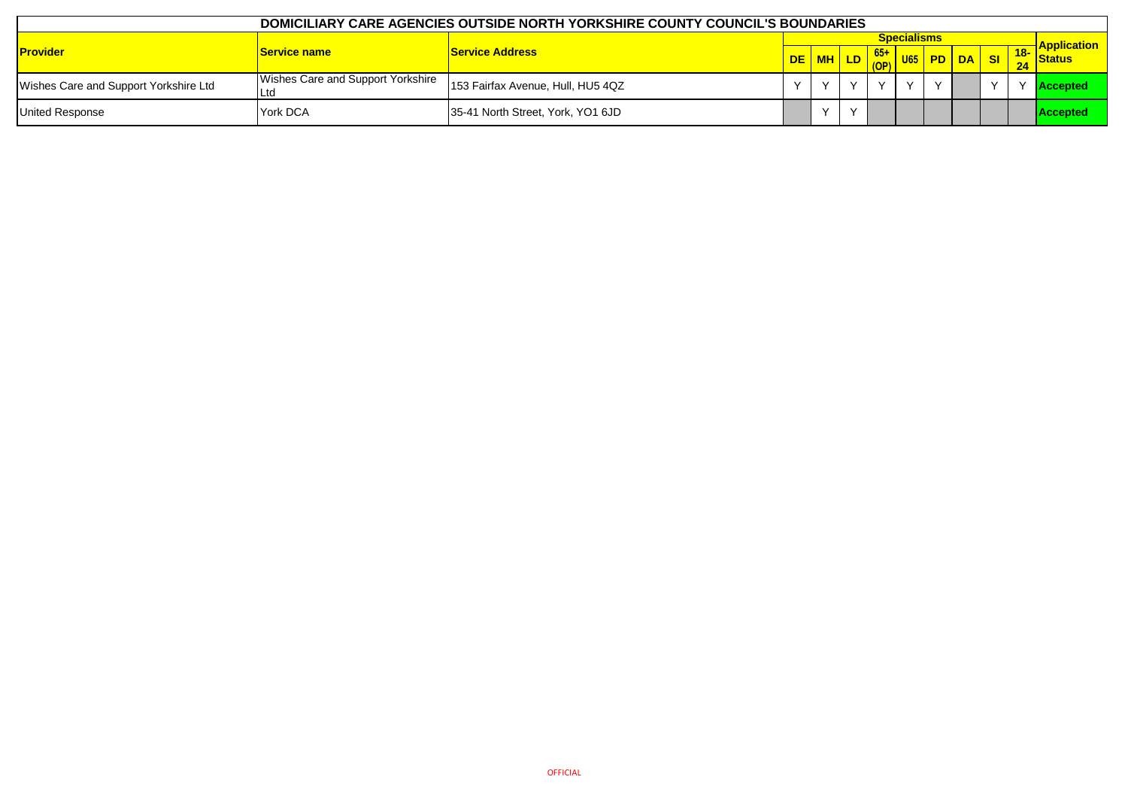| DOMICILIARY CARE AGENCIES OUTSIDE NORTH YORKSHIRE COUNTY COUNCIL'S BOUNDARIES |                                   |                                   |           |        |  |  |                    |           |  |           |  |                              |
|-------------------------------------------------------------------------------|-----------------------------------|-----------------------------------|-----------|--------|--|--|--------------------|-----------|--|-----------|--|------------------------------|
|                                                                               |                                   |                                   |           |        |  |  | <b>Specialisms</b> |           |  |           |  | <mark>-</mark>  Application_ |
| <b>Provider</b>                                                               | <b>Service name</b>               | <b>Service Address</b>            | DE        |        |  |  |                    | U65 PD DA |  | <b>SI</b> |  | Status                       |
| Wishes Care and Support Yorkshire Ltd                                         | Wishes Care and Support Yorkshire | 153 Fairfax Avenue, Hull, HU5 4QZ | $\sqrt{}$ |        |  |  |                    | $\lambda$ |  |           |  | <b>Accepted</b>              |
| <b>United Response</b>                                                        | York DCA                          | 35-41 North Street, York, YO1 6JD |           | $\vee$ |  |  |                    |           |  |           |  | <b>Accepted</b>              |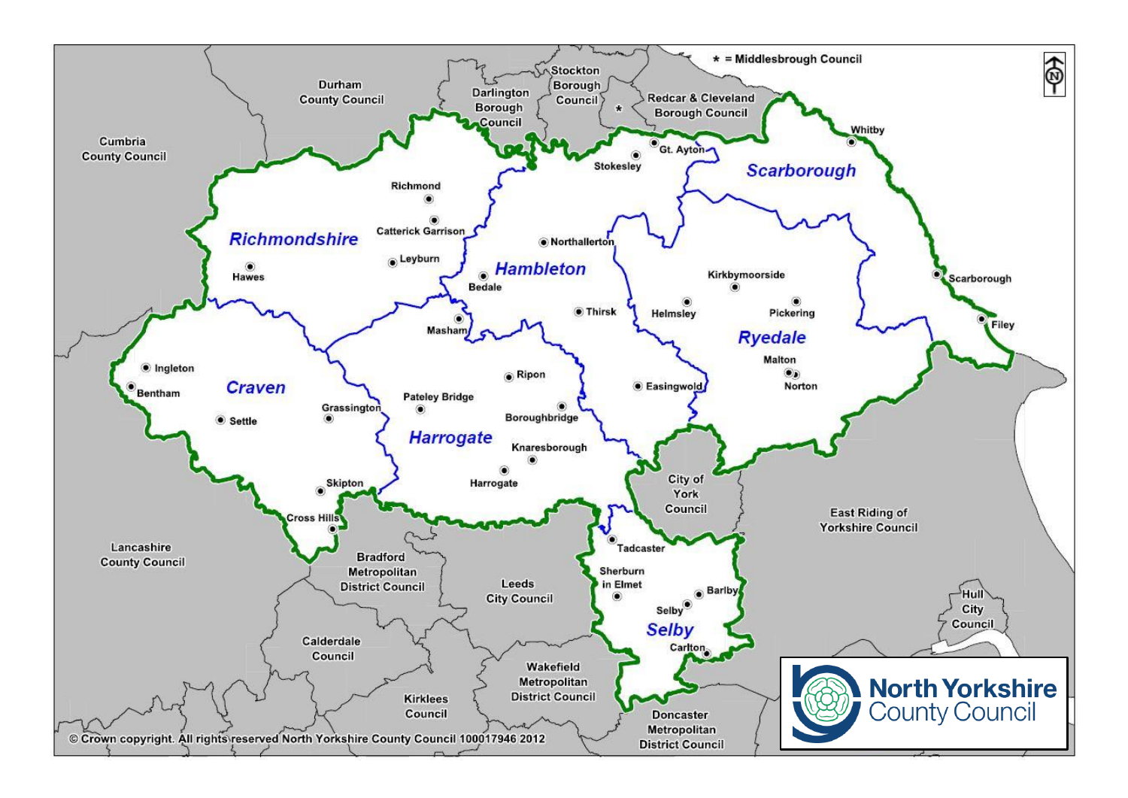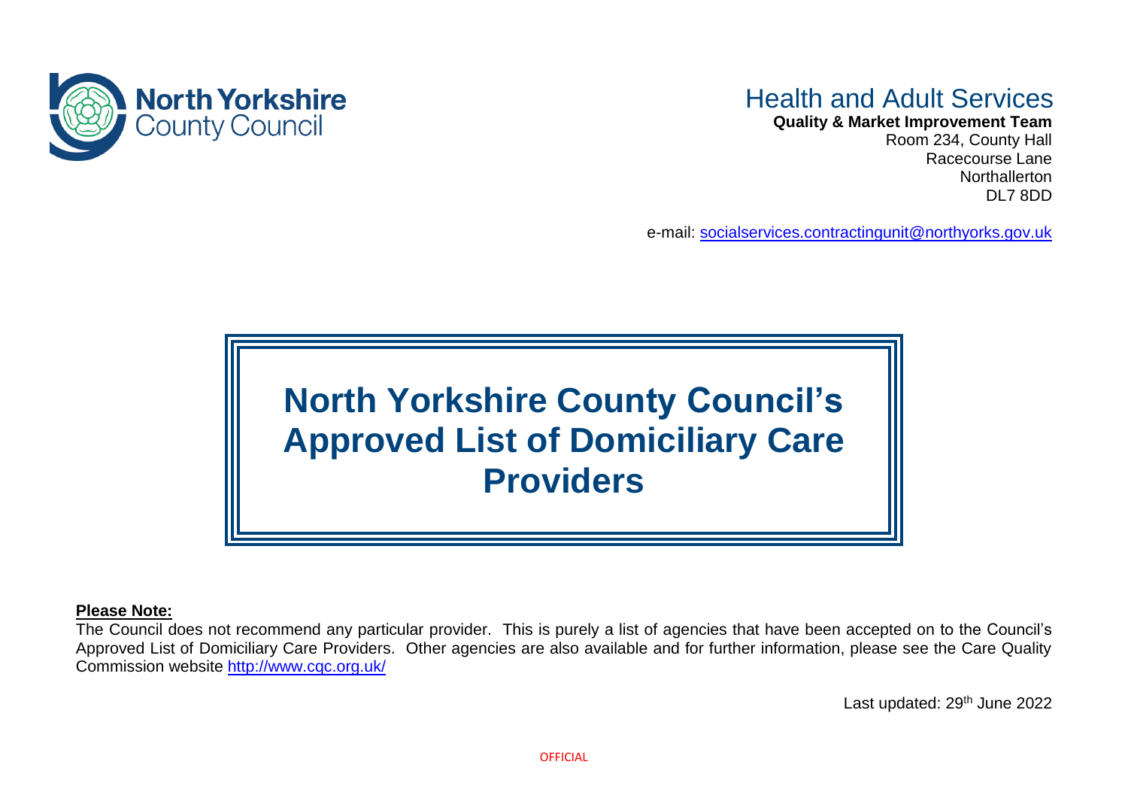

## Health and Adult Services

**Quality & Market Improvement Team**

Room 234, County Hall Racecourse Lane **Northallerton** DL7 8DD

e-mail: [socialservices.contractingunit@northyorks.gov.uk](mailto:socialservices.contractingunit@northyorks.gov.uk)

## **North Yorkshire County Council's Approved List of Domiciliary Care Providers**

## **Please Note:**

The Council does not recommend any particular provider. This is purely a list of agencies that have been accepted on to the Council's Approved List of Domiciliary Care Providers. Other agencies are also available and for further information, please see the Care Quality Commission website<http://www.cqc.org.uk/>

Last updated: 29<sup>th</sup> June 2022